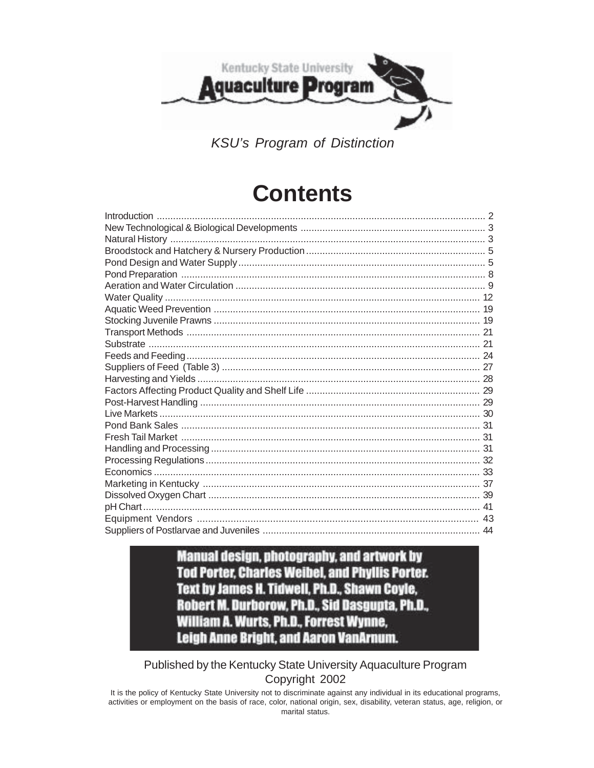

**KSU's Program of Distinction** 

# **Contents**

### **Manual design, photography, and artwork by Tod Porter, Charles Weibel, and Phyllis Porter.** Text by James H. Tidwell, Ph.D., Shawn Coyle, Robert M. Durborow, Ph.D., Sid Dasgupta, Ph.D., **William A. Wurts, Ph.D., Forrest Wynne, Leigh Anne Bright, and Aaron VanArnum.**

### Published by the Kentucky State University Aquaculture Program Copyright 2002

It is the policy of Kentucky State University not to discriminate against any individual in its educational programs, activities or employment on the basis of race, color, national origin, sex, disability, veteran status, age, religion, or marital status.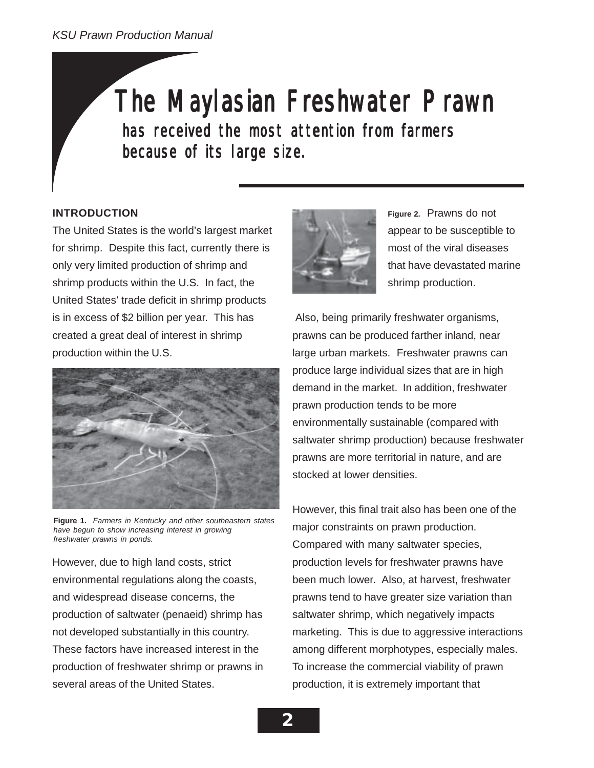# The Maylasian Freshwater Prawn

has received the most attention from farmers because of its large size.

### **INTRODUCTION**

The United States is the world's largest market for shrimp. Despite this fact, currently there is only very limited production of shrimp and shrimp products within the U.S. In fact, the United States' trade deficit in shrimp products is in excess of \$2 billion per year. This has created a great deal of interest in shrimp production within the U.S.



**Figure 1.** *Farmers in Kentucky and other southeastern states have begun to show increasing interest in growing freshwater prawns in ponds.*

However, due to high land costs, strict environmental regulations along the coasts, and widespread disease concerns, the production of saltwater (penaeid) shrimp has not developed substantially in this country. These factors have increased interest in the production of freshwater shrimp or prawns in several areas of the United States.



**Figure 2.** Prawns do not appear to be susceptible to most of the viral diseases that have devastated marine shrimp production.

 Also, being primarily freshwater organisms, prawns can be produced farther inland, near large urban markets. Freshwater prawns can produce large individual sizes that are in high demand in the market. In addition, freshwater prawn production tends to be more environmentally sustainable (compared with saltwater shrimp production) because freshwater prawns are more territorial in nature, and are stocked at lower densities.

However, this final trait also has been one of the major constraints on prawn production. Compared with many saltwater species, production levels for freshwater prawns have been much lower. Also, at harvest, freshwater prawns tend to have greater size variation than saltwater shrimp, which negatively impacts marketing. This is due to aggressive interactions among different morphotypes, especially males. To increase the commercial viability of prawn production, it is extremely important that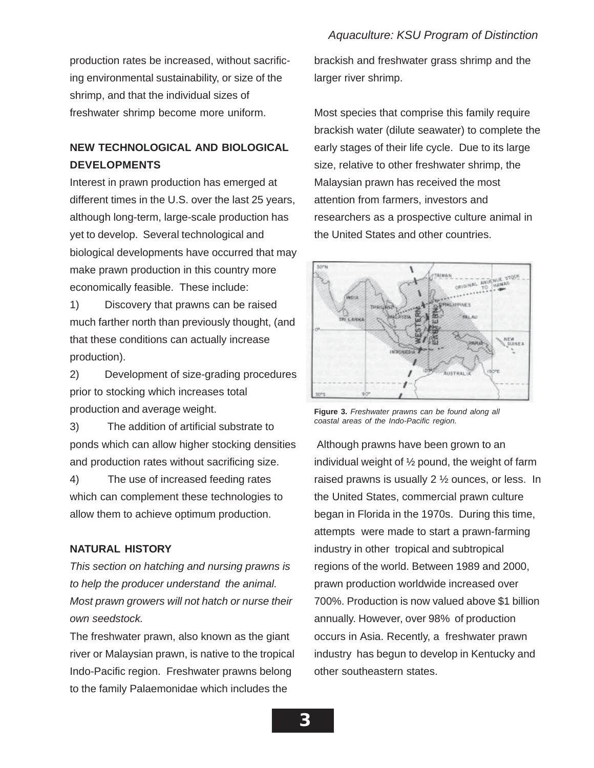production rates be increased, without sacrificing environmental sustainability, or size of the shrimp, and that the individual sizes of freshwater shrimp become more uniform.

### **NEW TECHNOLOGICAL AND BIOLOGICAL DEVELOPMENTS**

Interest in prawn production has emerged at different times in the U.S. over the last 25 years, although long-term, large-scale production has yet to develop. Several technological and biological developments have occurred that may make prawn production in this country more economically feasible. These include:

1) Discovery that prawns can be raised much farther north than previously thought, (and that these conditions can actually increase production).

2) Development of size-grading procedures prior to stocking which increases total production and average weight.

3) The addition of artificial substrate to ponds which can allow higher stocking densities and production rates without sacrificing size.

4) The use of increased feeding rates which can complement these technologies to allow them to achieve optimum production.

### **NATURAL HISTORY**

*This section on hatching and nursing prawns is to help the producer understand the animal. Most prawn growers will not hatch or nurse their own seedstock.*

The freshwater prawn, also known as the giant river or Malaysian prawn, is native to the tropical Indo-Pacific region. Freshwater prawns belong to the family Palaemonidae which includes the

brackish and freshwater grass shrimp and the larger river shrimp.

Most species that comprise this family require brackish water (dilute seawater) to complete the early stages of their life cycle. Due to its large size, relative to other freshwater shrimp, the Malaysian prawn has received the most attention from farmers, investors and researchers as a prospective culture animal in the United States and other countries.



**Figure 3.** *Freshwater prawns can be found along all coastal areas of the Indo-Pacific region.*

 Although prawns have been grown to an individual weight of  $\frac{1}{2}$  pound, the weight of farm raised prawns is usually 2 ½ ounces, or less. In the United States, commercial prawn culture began in Florida in the 1970s. During this time, attempts were made to start a prawn-farming industry in other tropical and subtropical regions of the world. Between 1989 and 2000, prawn production worldwide increased over 700%. Production is now valued above \$1 billion annually. However, over 98% of production occurs in Asia. Recently, a freshwater prawn industry has begun to develop in Kentucky and other southeastern states.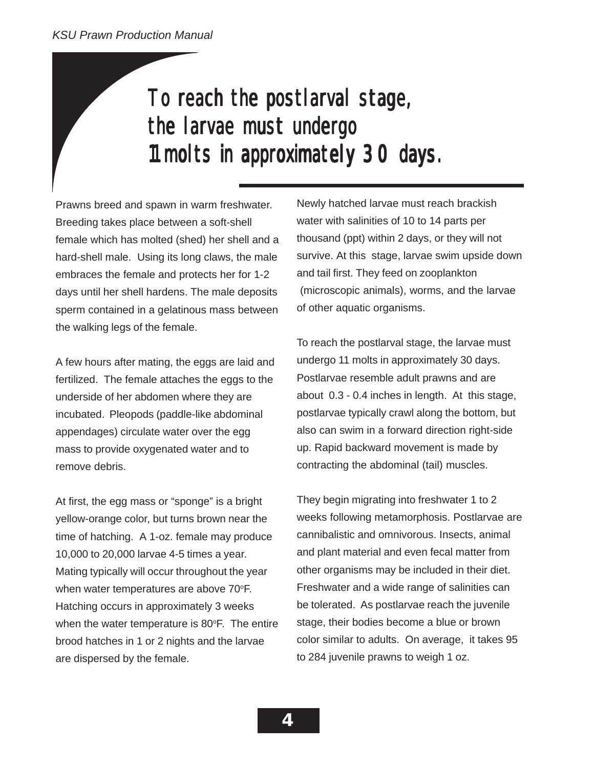# To reach the postlarval stage, the larvae must undergo 11 molts in approximately 30 days.

Prawns breed and spawn in warm freshwater. Breeding takes place between a soft-shell female which has molted (shed) her shell and a hard-shell male. Using its long claws, the male embraces the female and protects her for 1-2 days until her shell hardens. The male deposits sperm contained in a gelatinous mass between the walking legs of the female.

A few hours after mating, the eggs are laid and fertilized. The female attaches the eggs to the underside of her abdomen where they are incubated. Pleopods (paddle-like abdominal appendages) circulate water over the egg mass to provide oxygenated water and to remove debris.

At first, the egg mass or "sponge" is a bright yellow-orange color, but turns brown near the time of hatching. A 1-oz. female may produce 10,000 to 20,000 larvae 4-5 times a year. Mating typically will occur throughout the year when water temperatures are above 70°F. Hatching occurs in approximately 3 weeks when the water temperature is 80°F. The entire brood hatches in 1 or 2 nights and the larvae are dispersed by the female.

Newly hatched larvae must reach brackish water with salinities of 10 to 14 parts per thousand (ppt) within 2 days, or they will not survive. At this stage, larvae swim upside down and tail first. They feed on zooplankton (microscopic animals), worms, and the larvae of other aquatic organisms.

To reach the postlarval stage, the larvae must undergo 11 molts in approximately 30 days. Postlarvae resemble adult prawns and are about 0.3 - 0.4 inches in length. At this stage, postlarvae typically crawl along the bottom, but also can swim in a forward direction right-side up. Rapid backward movement is made by contracting the abdominal (tail) muscles.

They begin migrating into freshwater 1 to 2 weeks following metamorphosis. Postlarvae are cannibalistic and omnivorous. Insects, animal and plant material and even fecal matter from other organisms may be included in their diet. Freshwater and a wide range of salinities can be tolerated. As postlarvae reach the juvenile stage, their bodies become a blue or brown color similar to adults. On average, it takes 95 to 284 juvenile prawns to weigh 1 oz.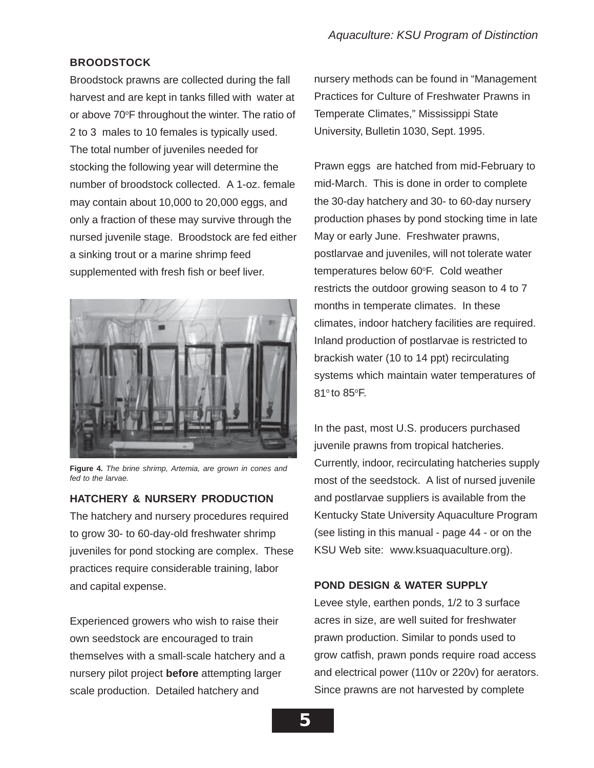### **BROODSTOCK**

Broodstock prawns are collected during the fall harvest and are kept in tanks filled with water at or above 70°F throughout the winter. The ratio of 2 to 3 males to 10 females is typically used. The total number of juveniles needed for stocking the following year will determine the number of broodstock collected. A 1-oz. female may contain about 10,000 to 20,000 eggs, and only a fraction of these may survive through the nursed juvenile stage. Broodstock are fed either a sinking trout or a marine shrimp feed supplemented with fresh fish or beef liver.



**Figure 4.** *The brine shrimp, Artemia, are grown in cones and fed to the larvae.*

### **HATCHERY & NURSERY PRODUCTION**

The hatchery and nursery procedures required to grow 30- to 60-day-old freshwater shrimp juveniles for pond stocking are complex. These practices require considerable training, labor and capital expense.

Experienced growers who wish to raise their own seedstock are encouraged to train themselves with a small-scale hatchery and a nursery pilot project **before** attempting larger scale production. Detailed hatchery and

nursery methods can be found in "Management Practices for Culture of Freshwater Prawns in Temperate Climates," Mississippi State University, Bulletin 1030, Sept. 1995.

Prawn eggs are hatched from mid-February to mid-March. This is done in order to complete the 30-day hatchery and 30- to 60-day nursery production phases by pond stocking time in late May or early June. Freshwater prawns, postlarvae and juveniles, will not tolerate water temperatures below 60°F. Cold weather restricts the outdoor growing season to 4 to 7 months in temperate climates. In these climates, indoor hatchery facilities are required. Inland production of postlarvae is restricted to brackish water (10 to 14 ppt) recirculating systems which maintain water temperatures of 81° to 85°F.

In the past, most U.S. producers purchased juvenile prawns from tropical hatcheries. Currently, indoor, recirculating hatcheries supply most of the seedstock. A list of nursed juvenile and postlarvae suppliers is available from the Kentucky State University Aquaculture Program (see listing in this manual - page 44 - or on the KSU Web site: www.ksuaquaculture.org).

### **POND DESIGN & WATER SUPPLY**

Levee style, earthen ponds, 1/2 to 3 surface acres in size, are well suited for freshwater prawn production. Similar to ponds used to grow catfish, prawn ponds require road access and electrical power (110v or 220v) for aerators. Since prawns are not harvested by complete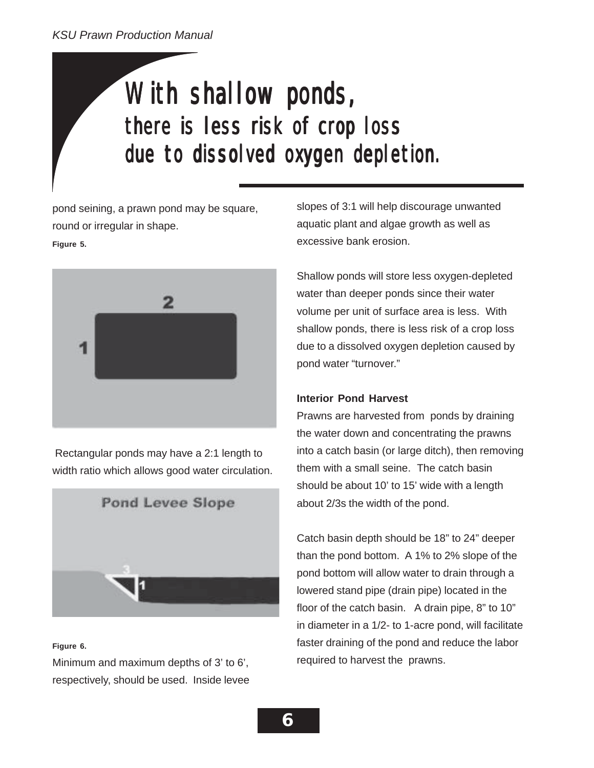# With shallow ponds, there is less risk of crop loss due to dissolved oxygen depletion.

pond seining, a prawn pond may be square, round or irregular in shape.

### **Figure 5.**



 Rectangular ponds may have a 2:1 length to width ratio which allows good water circulation.



### **Figure 6.**

Minimum and maximum depths of 3' to 6', respectively, should be used. Inside levee slopes of 3:1 will help discourage unwanted aquatic plant and algae growth as well as excessive bank erosion.

Shallow ponds will store less oxygen-depleted water than deeper ponds since their water volume per unit of surface area is less. With shallow ponds, there is less risk of a crop loss due to a dissolved oxygen depletion caused by pond water "turnover."

### **Interior Pond Harvest**

Prawns are harvested from ponds by draining the water down and concentrating the prawns into a catch basin (or large ditch), then removing them with a small seine. The catch basin should be about 10' to 15' wide with a length about 2/3s the width of the pond.

Catch basin depth should be 18" to 24" deeper than the pond bottom. A 1% to 2% slope of the pond bottom will allow water to drain through a lowered stand pipe (drain pipe) located in the floor of the catch basin. A drain pipe, 8" to 10" in diameter in a 1/2- to 1-acre pond, will facilitate faster draining of the pond and reduce the labor required to harvest the prawns.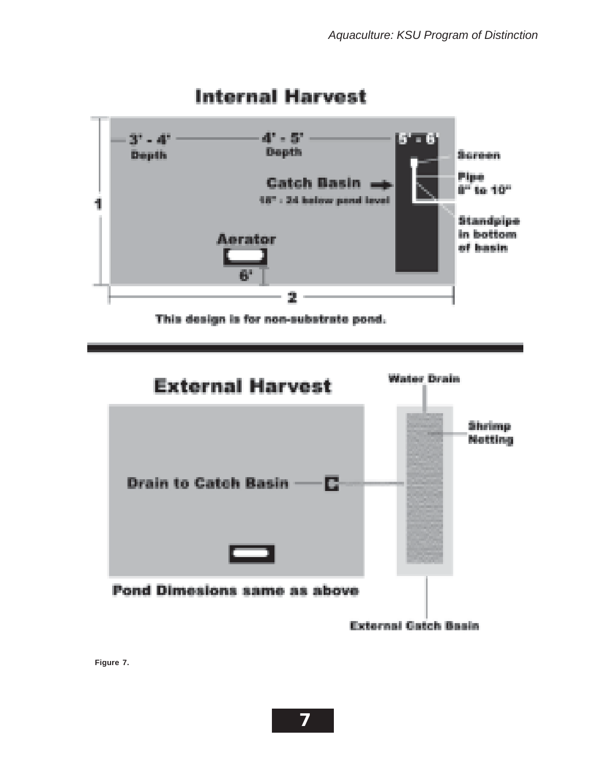

## **Internal Harvest**

This design is for non-substrate pond.



**Figure 7.**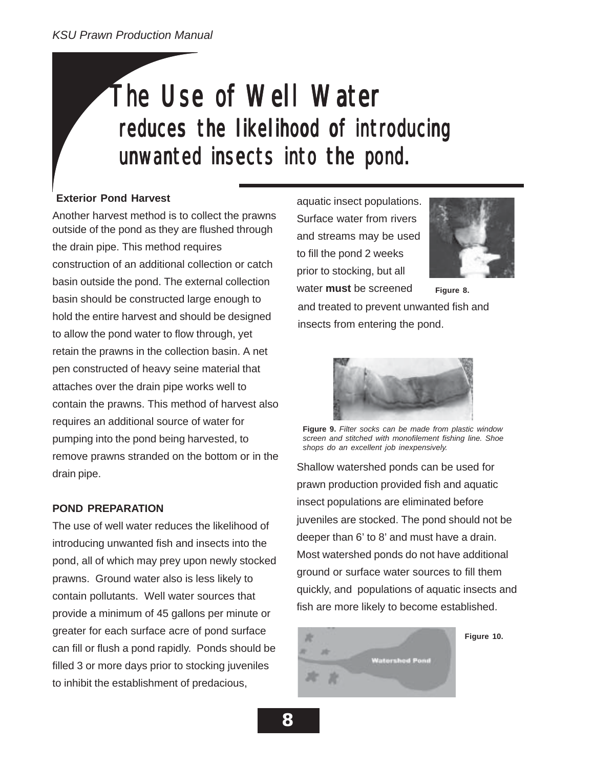# The Use of Well Water reduces the likelihood of introducing unwanted insects into the pond.

### **Exterior Pond Harvest**

outside of the pond as they are flushed through the drain pipe. This method requires construction of an additional collection or catch basin outside the pond. The external collection basin should be constructed large enough to hold the entire harvest and should be designed to allow the pond water to flow through, yet retain the prawns in the collection basin. A net pen constructed of heavy seine material that attaches over the drain pipe works well to contain the prawns. This method of harvest also requires an additional source of water for pumping into the pond being harvested, to remove prawns stranded on the bottom or in the drain pipe. Another harvest method is to collect the prawns

### **POND PREPARATION**

The use of well water reduces the likelihood of introducing unwanted fish and insects into the pond, all of which may prey upon newly stocked prawns. Ground water also is less likely to contain pollutants. Well water sources that provide a minimum of 45 gallons per minute or greater for each surface acre of pond surface can fill or flush a pond rapidly. Ponds should be filled 3 or more days prior to stocking juveniles to inhibit the establishment of predacious,

aquatic insect populations. Surface water from rivers and streams may be used to fill the pond 2 weeks prior to stocking, but all water **must** be screened



**Figure 8.**

and treated to prevent unwanted fish and insects from entering the pond.



**Figure 9.** *Filter socks can be made from plastic window screen and stitched with monofilement fishing line. Shoe shops do an excellent job inexpensively.*

Shallow watershed ponds can be used for prawn production provided fish and aquatic insect populations are eliminated before juveniles are stocked. The pond should not be deeper than 6' to 8' and must have a drain. Most watershed ponds do not have additional ground or surface water sources to fill them quickly, and populations of aquatic insects and fish are more likely to become established.

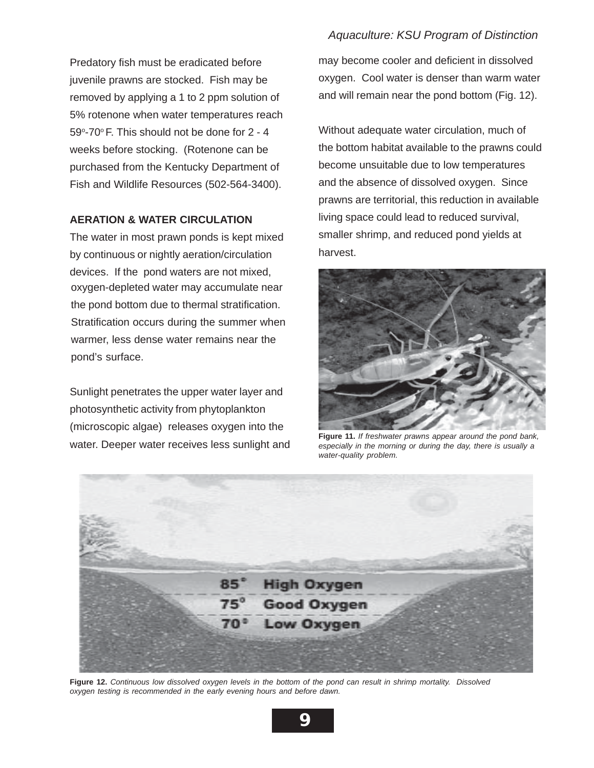Predatory fish must be eradicated before juvenile prawns are stocked. Fish may be removed by applying a 1 to 2 ppm solution of 5% rotenone when water temperatures reach 59°-70° F. This should not be done for 2 - 4 weeks before stocking. (Rotenone can be purchased from the Kentucky Department of Fish and Wildlife Resources (502-564-3400).

### **AERATION & WATER CIRCULATION**

The water in most prawn ponds is kept mixed by continuous or nightly aeration/circulation devices. If the pond waters are not mixed, oxygen-depleted water may accumulate near the pond bottom due to thermal stratification. Stratification occurs during the summer when warmer, less dense water remains near the pond's surface.

Sunlight penetrates the upper water layer and photosynthetic activity from phytoplankton (microscopic algae) releases oxygen into the water. Deeper water receives less sunlight and

### *Aquaculture: KSU Program of Distinction*

may become cooler and deficient in dissolved oxygen. Cool water is denser than warm water and will remain near the pond bottom (Fig. 12).

Without adequate water circulation, much of the bottom habitat available to the prawns could become unsuitable due to low temperatures and the absence of dissolved oxygen. Since prawns are territorial, this reduction in available living space could lead to reduced survival, smaller shrimp, and reduced pond yields at harvest.



**Figure 11.** *If freshwater prawns appear around the pond bank, especially in the morning or during the day, there is usually a water-quality problem.*



**Figure 12.** *Continuous low dissolved oxygen levels in the bottom of the pond can result in shrimp mortality. Dissolved oxygen testing is recommended in the early evening hours and before dawn.*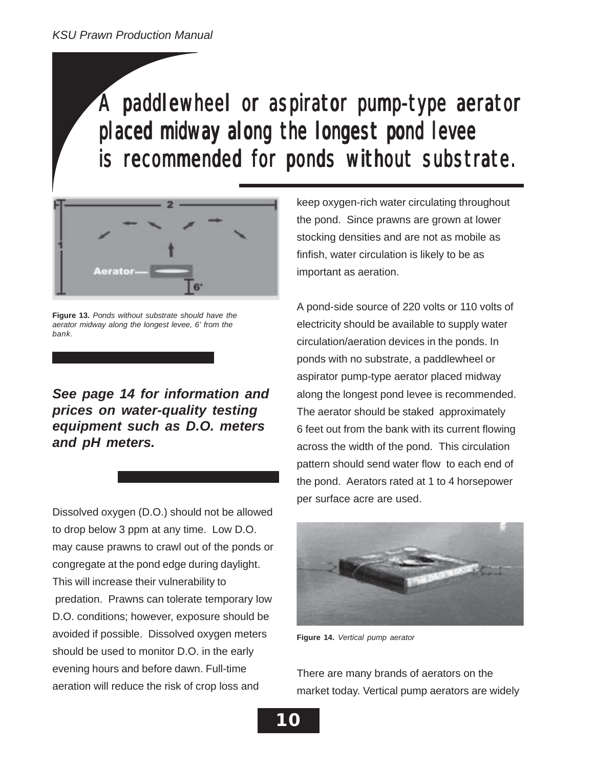# A paddlewheel or aspirator pump-type aerator placed midway along the longest pond levee is recommended for ponds without substrate.



**Figure 13.** *Ponds without substrate should have the aerator midway along the longest levee, 6' from the bank.*

*See page 14 for information and prices on water-quality testing equipment such as D.O. meters and pH meters.*

Dissolved oxygen (D.O.) should not be allowed to drop below 3 ppm at any time. Low D.O. may cause prawns to crawl out of the ponds or congregate at the pond edge during daylight. This will increase their vulnerability to predation. Prawns can tolerate temporary low D.O. conditions; however, exposure should be avoided if possible. Dissolved oxygen meters should be used to monitor D.O. in the early evening hours and before dawn. Full-time aeration will reduce the risk of crop loss and

keep oxygen-rich water circulating throughout the pond. Since prawns are grown at lower stocking densities and are not as mobile as finfish, water circulation is likely to be as important as aeration.

A pond-side source of 220 volts or 110 volts of electricity should be available to supply water circulation/aeration devices in the ponds. In ponds with no substrate, a paddlewheel or aspirator pump-type aerator placed midway along the longest pond levee is recommended. The aerator should be staked approximately 6 feet out from the bank with its current flowing across the width of the pond. This circulation pattern should send water flow to each end of the pond. Aerators rated at 1 to 4 horsepower per surface acre are used.



**Figure 14.** *Vertical pump aerator*

There are many brands of aerators on the market today. Vertical pump aerators are widely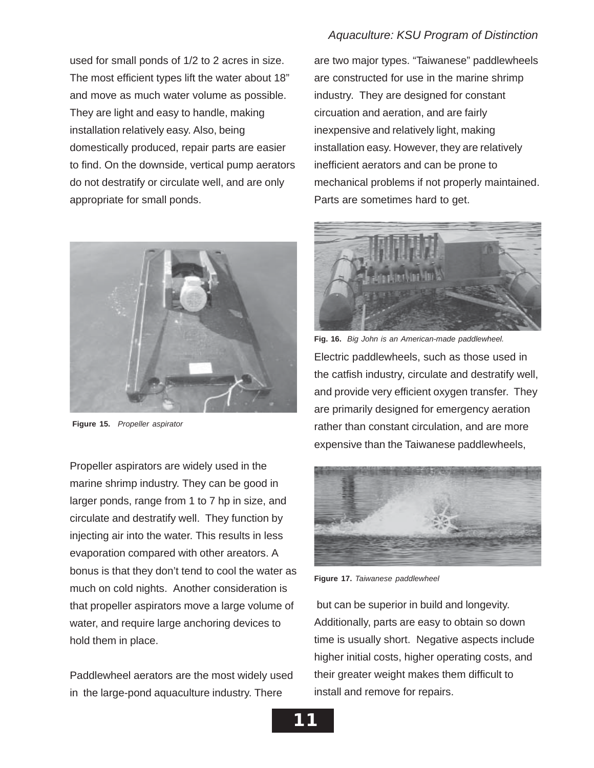used for small ponds of 1/2 to 2 acres in size. The most efficient types lift the water about 18" and move as much water volume as possible. They are light and easy to handle, making installation relatively easy. Also, being domestically produced, repair parts are easier to find. On the downside, vertical pump aerators do not destratify or circulate well, and are only appropriate for small ponds.



**Figure 15.** *Propeller aspirator*

Propeller aspirators are widely used in the marine shrimp industry. They can be good in larger ponds, range from 1 to 7 hp in size, and circulate and destratify well. They function by injecting air into the water. This results in less evaporation compared with other areators. A bonus is that they don't tend to cool the water as much on cold nights. Another consideration is that propeller aspirators move a large volume of water, and require large anchoring devices to hold them in place.

Paddlewheel aerators are the most widely used in the large-pond aquaculture industry. There

are two major types. "Taiwanese" paddlewheels are constructed for use in the marine shrimp industry. They are designed for constant circuation and aeration, and are fairly inexpensive and relatively light, making installation easy. However, they are relatively inefficient aerators and can be prone to mechanical problems if not properly maintained. Parts are sometimes hard to get.

![](_page_10_Picture_7.jpeg)

Electric paddlewheels, such as those used in the catfish industry, circulate and destratify well, and provide very efficient oxygen transfer. They are primarily designed for emergency aeration rather than constant circulation, and are more expensive than the Taiwanese paddlewheels, **Fig. 16.** *Big John is an American-made paddlewheel.*

![](_page_10_Picture_9.jpeg)

**Figure 17.** *Taiwanese paddlewheel*

 but can be superior in build and longevity. Additionally, parts are easy to obtain so down time is usually short. Negative aspects include higher initial costs, higher operating costs, and their greater weight makes them difficult to install and remove for repairs.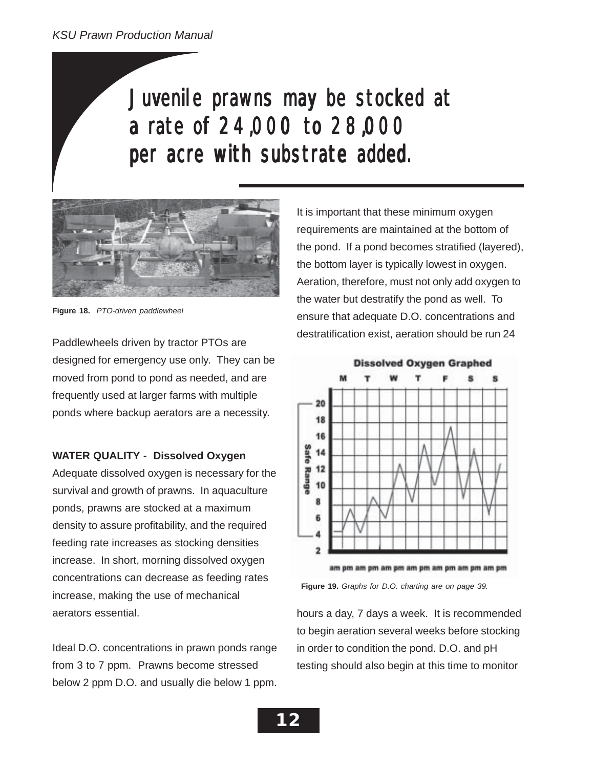# Juvenile prawns may be stocked at a rate of 24,000 to 28,000 per acre with substrate added.

![](_page_11_Picture_2.jpeg)

**Figure 18.** *PTO-driven paddlewheel*

Paddlewheels driven by tractor PTOs are designed for emergency use only. They can be moved from pond to pond as needed, and are frequently used at larger farms with multiple ponds where backup aerators are a necessity.

### **WATER QUALITY - Dissolved Oxygen**

Adequate dissolved oxygen is necessary for the survival and growth of prawns. In aquaculture ponds, prawns are stocked at a maximum density to assure profitability, and the required feeding rate increases as stocking densities increase. In short, morning dissolved oxygen concentrations can decrease as feeding rates increase, making the use of mechanical aerators essential.

Ideal D.O. concentrations in prawn ponds range from 3 to 7 ppm. Prawns become stressed below 2 ppm D.O. and usually die below 1 ppm. It is important that these minimum oxygen requirements are maintained at the bottom of the pond. If a pond becomes stratified (layered), the bottom layer is typically lowest in oxygen. Aeration, therefore, must not only add oxygen to the water but destratify the pond as well. To ensure that adequate D.O. concentrations and destratification exist, aeration should be run 24

![](_page_11_Figure_9.jpeg)

**Figure 19.** *Graphs for D.O. charting are on page 39.*

hours a day, 7 days a week. It is recommended to begin aeration several weeks before stocking in order to condition the pond. D.O. and pH testing should also begin at this time to monitor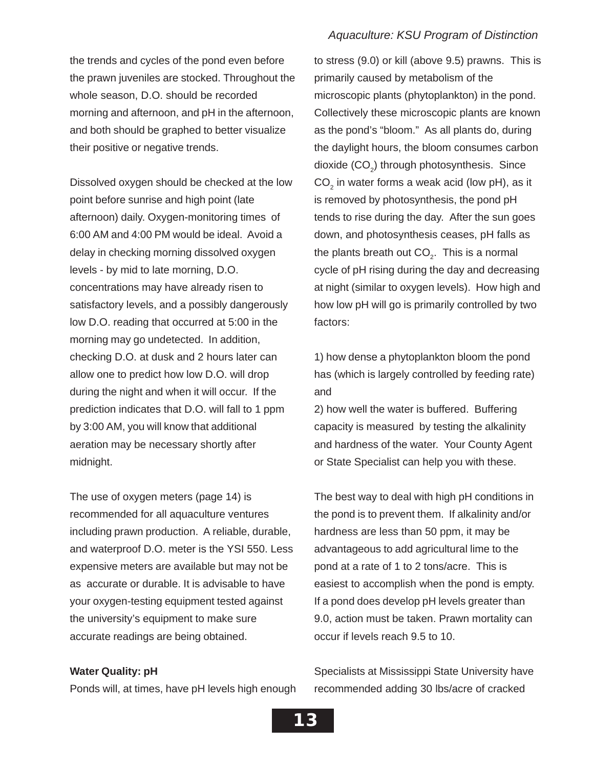to stress (9.0) or kill (above 9.5) prawns. This is

primarily caused by metabolism of the

the trends and cycles of the pond even before the prawn juveniles are stocked. Throughout the whole season, D.O. should be recorded morning and afternoon, and pH in the afternoon, and both should be graphed to better visualize their positive or negative trends.

Dissolved oxygen should be checked at the low point before sunrise and high point (late afternoon) daily. Oxygen-monitoring times of 6:00 AM and 4:00 PM would be ideal. Avoid a delay in checking morning dissolved oxygen levels - by mid to late morning, D.O. concentrations may have already risen to satisfactory levels, and a possibly dangerously low D.O. reading that occurred at 5:00 in the morning may go undetected. In addition, checking D.O. at dusk and 2 hours later can allow one to predict how low D.O. will drop during the night and when it will occur. If the prediction indicates that D.O. will fall to 1 ppm by 3:00 AM, you will know that additional aeration may be necessary shortly after midnight.

The use of oxygen meters (page 14) is recommended for all aquaculture ventures including prawn production. A reliable, durable, and waterproof D.O. meter is the YSI 550. Less expensive meters are available but may not be as accurate or durable. It is advisable to have your oxygen-testing equipment tested against the university's equipment to make sure accurate readings are being obtained.

### microscopic plants (phytoplankton) in the pond. Collectively these microscopic plants are known as the pond's "bloom." As all plants do, during the daylight hours, the bloom consumes carbon dioxide (CO<sub>2</sub>) through photosynthesis. Since  $CO<sub>2</sub>$  in water forms a weak acid (low pH), as it is removed by photosynthesis, the pond pH tends to rise during the day. After the sun goes down, and photosynthesis ceases, pH falls as the plants breath out  $CO<sub>2</sub>$ . This is a normal cycle of pH rising during the day and decreasing at night (similar to oxygen levels). How high and how low pH will go is primarily controlled by two

1) how dense a phytoplankton bloom the pond has (which is largely controlled by feeding rate) and

factors:

2) how well the water is buffered. Buffering capacity is measured by testing the alkalinity and hardness of the water. Your County Agent or State Specialist can help you with these.

The best way to deal with high pH conditions in the pond is to prevent them. If alkalinity and/or hardness are less than 50 ppm, it may be advantageous to add agricultural lime to the pond at a rate of 1 to 2 tons/acre. This is easiest to accomplish when the pond is empty. If a pond does develop pH levels greater than 9.0, action must be taken. Prawn mortality can occur if levels reach 9.5 to 10.

### **Water Quality: pH**

Ponds will, at times, have pH levels high enough

Specialists at Mississippi State University have recommended adding 30 lbs/acre of cracked

![](_page_12_Picture_11.jpeg)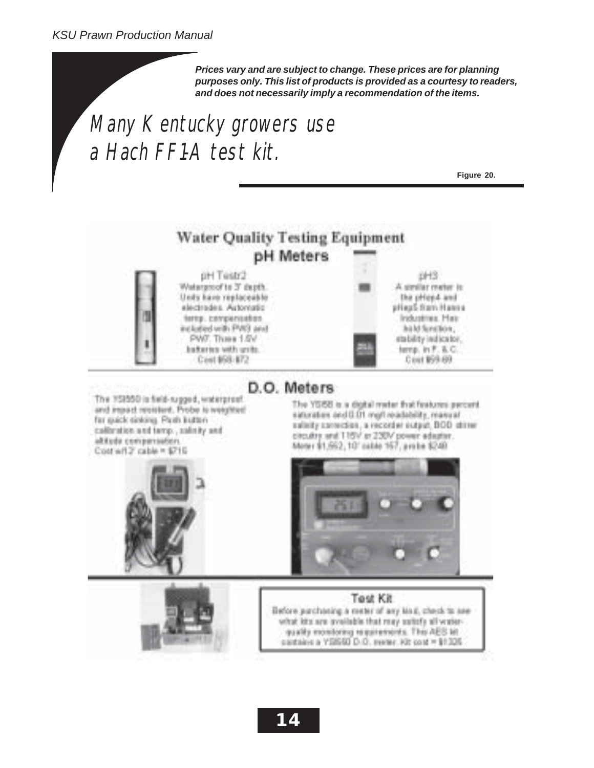*Prices vary and are subject to change. These prices are for planning purposes only. This list of products is provided as a courtesy to readers, and does not necessarily imply a recommendation of the items.*

# Many Kentucky growers use a Hach FF1-A test kit.

**Figure 20.**

### **Water Quality Testing Equipment** pH Meters

pH Testr2 Watergroof to 3' depth. Unity have replaceable electrodes. Actorogic terns, compensators included with PVK3 and PWF. Three 1-Rd bataries with grits. Cost 168-172

![](_page_13_Picture_6.jpeg)

The YSISS is a digital mater that features percent

D.O. Meters

The 152550 is field-rugged, waterproof and impact resistent. Probe to weighted far guick sinking. Paith Butteri calbration and tamp., minty and altitude companiation. Cost will? cable = \$715

saturation and 0.01 mg/l readability, manual salisity sarrection, a recorder surput, BOD street cliculity and T15V at 230V power adaptar. Moter \$1,552,10' cable 157, probe \$240.

![](_page_13_Picture_10.jpeg)

Test Kit Before purchasing a rester of any lind, check to see what kits are available that may satisfy all waterquality monitoring requirements. This AES Mt. cantains a YDIGIO D.O. meter. Kit cost = \$1,335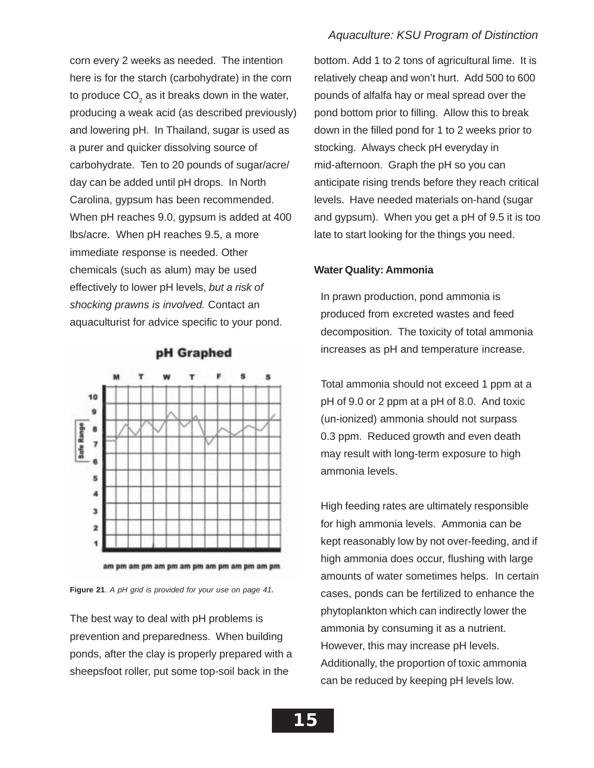corn every 2 weeks as needed. The intention here is for the starch (carbohydrate) in the corn to produce  $CO<sub>2</sub>$  as it breaks down in the water, producing a weak acid (as described previously) and lowering pH. In Thailand, sugar is used as a purer and quicker dissolving source of carbohydrate. Ten to 20 pounds of sugar/acre/ day can be added until pH drops. In North Carolina, gypsum has been recommended. When pH reaches 9.0, gypsum is added at 400 lbs/acre. When pH reaches 9.5, a more immediate response is needed. Other chemicals (such as alum) may be used effectively to lower pH levels, *but a risk of shocking prawns is involved.* Contact an aquaculturist for advice specific to your pond.

![](_page_14_Figure_1.jpeg)

![](_page_14_Figure_2.jpeg)

The best way to deal with pH problems is prevention and preparedness. When building ponds, after the clay is properly prepared with a sheepsfoot roller, put some top-soil back in the

### *Aquaculture: KSU Program of Distinction*

bottom. Add 1 to 2 tons of agricultural lime. It is relatively cheap and won't hurt. Add 500 to 600 pounds of alfalfa hay or meal spread over the pond bottom prior to filling. Allow this to break down in the filled pond for 1 to 2 weeks prior to stocking. Always check pH everyday in mid-afternoon. Graph the pH so you can anticipate rising trends before they reach critical levels. Have needed materials on-hand (sugar and gypsum). When you get a pH of 9.5 it is too late to start looking for the things you need.

### **Water Quality: Ammonia**

In prawn production, pond ammonia is produced from excreted wastes and feed decomposition. The toxicity of total ammonia increases as pH and temperature increase.

Total ammonia should not exceed 1 ppm at a pH of 9.0 or 2 ppm at a pH of 8.0. And toxic (un-ionized) ammonia should not surpass 0.3 ppm. Reduced growth and even death may result with long-term exposure to high ammonia levels.

High feeding rates are ultimately responsible for high ammonia levels. Ammonia can be kept reasonably low by not over-feeding, and if high ammonia does occur, flushing with large amounts of water sometimes helps. In certain cases, ponds can be fertilized to enhance the phytoplankton which can indirectly lower the ammonia by consuming it as a nutrient. However, this may increase pH levels. Additionally, the proportion of toxic ammonia can be reduced by keeping pH levels low.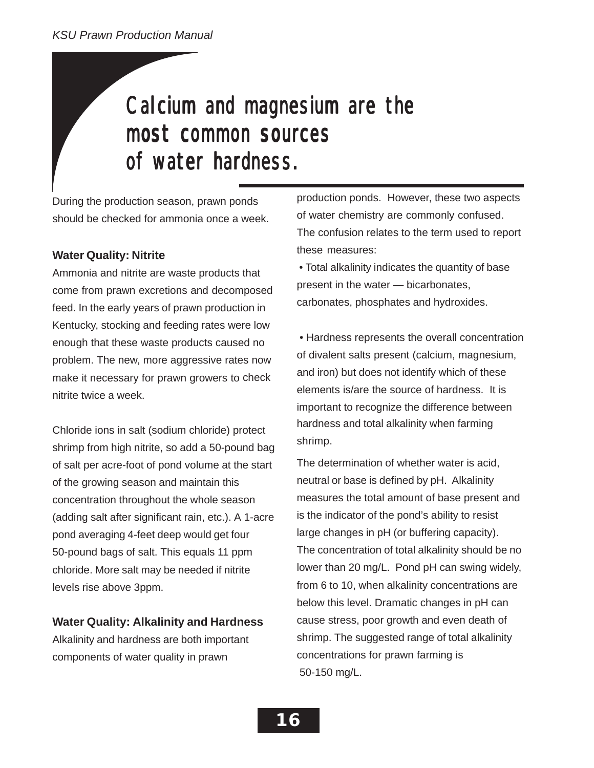# Calcium and magnesium are the most common sources of water hardness.

During the production season, prawn ponds should be checked for ammonia once a week.

### **Water Quality: Nitrite**

Ammonia and nitrite are waste products that come from prawn excretions and decomposed feed. In the early years of prawn production in Kentucky, stocking and feeding rates were low enough that these waste products caused no problem. The new, more aggressive rates now make it necessary for prawn growers to check nitrite twice a week.

Chloride ions in salt (sodium chloride) protect shrimp from high nitrite, so add a 50-pound bag of salt per acre-foot of pond volume at the start of the growing season and maintain this concentration throughout the whole season (adding salt after significant rain, etc.). A 1-acre pond averaging 4-feet deep would get four 50-pound bags of salt. This equals 11 ppm chloride. More salt may be needed if nitrite levels rise above 3ppm.

### **Water Quality: Alkalinity and Hardness**

Alkalinity and hardness are both important components of water quality in prawn

production ponds. However, these two aspects of water chemistry are commonly confused. The confusion relates to the term used to report these measures:

 • Total alkalinity indicates the quantity of base present in the water — bicarbonates, carbonates, phosphates and hydroxides.

hardness and total alkalinity when farming shrimp. • Hardness represents the overall concentration of divalent salts present (calcium, magnesium, and iron) but does not identify which of these elements is/are the source of hardness. It is important to recognize the difference between

The determination of whether water is acid, neutral or base is defined by pH. Alkalinity measures the total amount of base present and is the indicator of the pond's ability to resist large changes in pH (or buffering capacity). The concentration of total alkalinity should be no lower than 20 mg/L. Pond pH can swing widely, from 6 to 10, when alkalinity concentrations are below this level. Dramatic changes in pH can cause stress, poor growth and even death of shrimp. The suggested range of total alkalinity concentrations for prawn farming is 50-150 mg/L.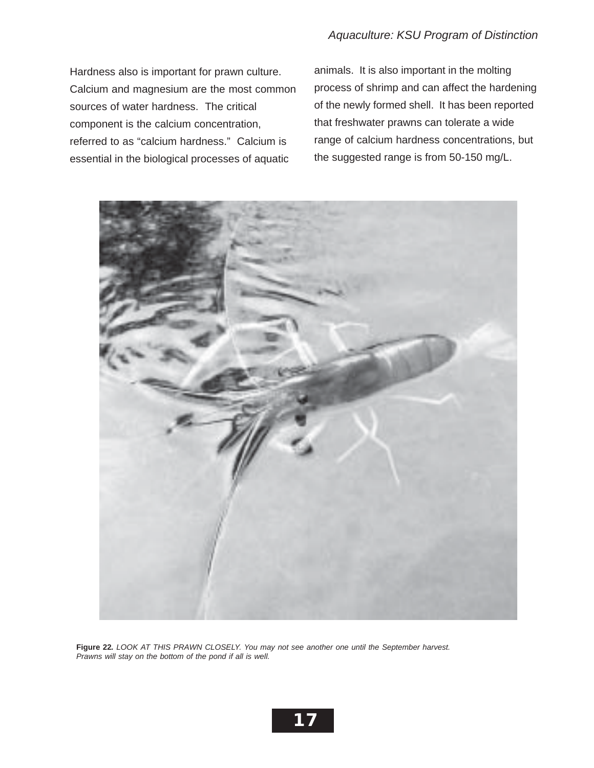Hardness also is important for prawn culture. Calcium and magnesium are the most common sources of water hardness. The critical component is the calcium concentration, referred to as "calcium hardness." Calcium is essential in the biological processes of aquatic

animals. It is also important in the molting process of shrimp and can affect the hardening of the newly formed shell. It has been reported that freshwater prawns can tolerate a wide range of calcium hardness concentrations, but the suggested range is from 50-150 mg/L.

![](_page_16_Picture_3.jpeg)

**Figure 22***. LOOK AT THIS PRAWN CLOSELY. You may not see another one until the September harvest. Prawns will stay on the bottom of the pond if all is well.*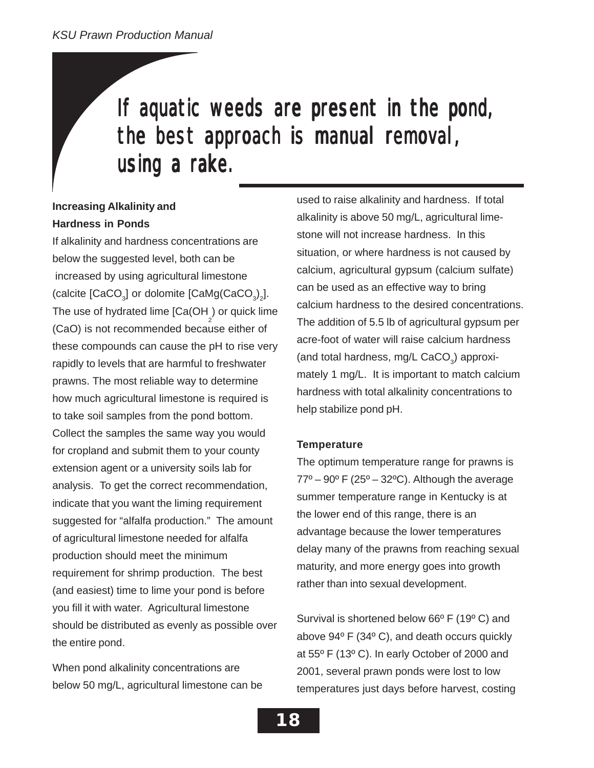# If aquatic weeds are present in the pond, the best approach is manual removal, using a rake.

### **Increasing Alkalinity and Hardness in Ponds**

If alkalinity and hardness concentrations are below the suggested level, both can be increased by using agricultural limestone (calcite [CaCO<sub>3</sub>] or dolomite [CaMg(CaCO<sub>3</sub>)<sub>2</sub>]. The use of hydrated lime [Ca(OH<sub>2</sub>) or quick lime (CaO) is not recommended because either of these compounds can cause the pH to rise very rapidly to levels that are harmful to freshwater prawns. The most reliable way to determine how much agricultural limestone is required is to take soil samples from the pond bottom. Collect the samples the same way you would for cropland and submit them to your county extension agent or a university soils lab for analysis. To get the correct recommendation, indicate that you want the liming requirement suggested for "alfalfa production." The amount of agricultural limestone needed for alfalfa production should meet the minimum requirement for shrimp production. The best (and easiest) time to lime your pond is before you fill it with water. Agricultural limestone should be distributed as evenly as possible over the entire pond.

When pond alkalinity concentrations are below 50 mg/L, agricultural limestone can be

used to raise alkalinity and hardness. If total alkalinity is above 50 mg/L, agricultural limestone will not increase hardness. In this situation, or where hardness is not caused by calcium, agricultural gypsum (calcium sulfate) can be used as an effective way to bring calcium hardness to the desired concentrations. The addition of 5.5 lb of agricultural gypsum per acre-foot of water will raise calcium hardness (and total hardness, mg/L CaCO<sub>2</sub>) approximately 1 mg/L. It is important to match calcium hardness with total alkalinity concentrations to help stabilize pond pH.

### **Temperature**

The optimum temperature range for prawns is  $77^{\circ}$  – 90° F (25° – 32°C). Although the average summer temperature range in Kentucky is at the lower end of this range, there is an advantage because the lower temperatures delay many of the prawns from reaching sexual maturity, and more energy goes into growth rather than into sexual development.

Survival is shortened below 66º F (19º C) and above 94º F (34º C), and death occurs quickly at 55º F (13º C). In early October of 2000 and 2001, several prawn ponds were lost to low temperatures just days before harvest, costing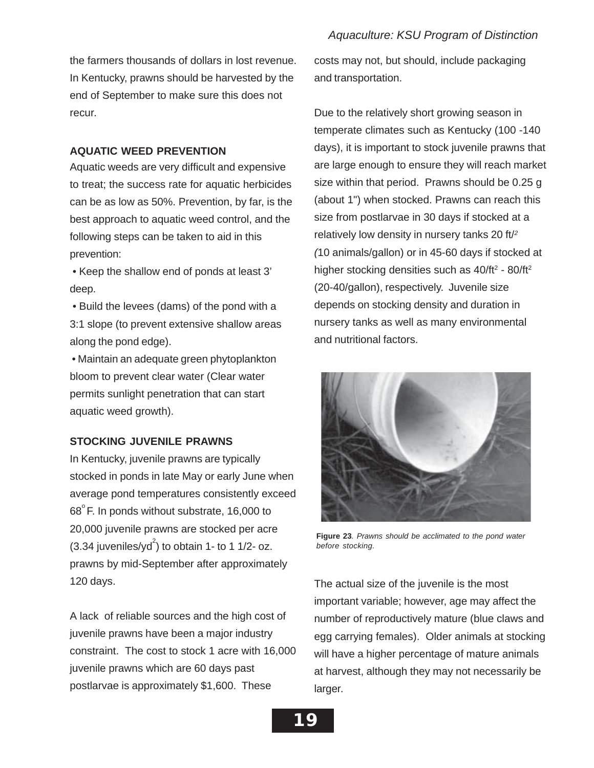the farmers thousands of dollars in lost revenue. In Kentucky, prawns should be harvested by the end of September to make sure this does not recur.

### **AQUATIC WEED PREVENTION**

Aquatic weeds are very difficult and expensive to treat; the success rate for aquatic herbicides can be as low as 50%. Prevention, by far, is the best approach to aquatic weed control, and the following steps can be taken to aid in this prevention:

 • Keep the shallow end of ponds at least 3' deep.

 • Build the levees (dams) of the pond with a 3:1 slope (to prevent extensive shallow areas along the pond edge).

 • Maintain an adequate green phytoplankton bloom to prevent clear water (Clear water permits sunlight penetration that can start aquatic weed growth).

### **STOCKING JUVENILE PRAWNS**

In Kentucky, juvenile prawns are typically stocked in ponds in late May or early June when average pond temperatures consistently exceed  $68^{\circ}$  F. In ponds without substrate, 16,000 to 20,000 juvenile prawns are stocked per acre  $(3.34$  juveniles/yd<sup>2</sup>) to obtain 1- to 1 1/2- oz. prawns by mid-September after approximately 120 days.

A lack of reliable sources and the high cost of juvenile prawns have been a major industry constraint. The cost to stock 1 acre with 16,000 juvenile prawns which are 60 days past postlarvae is approximately \$1,600. These

costs may not, but should, include packaging and transportation.

Due to the relatively short growing season in temperate climates such as Kentucky (100 -140 days), it is important to stock juvenile prawns that are large enough to ensure they will reach market size within that period. Prawns should be 0.25 g (about 1") when stocked. Prawns can reach this size from postlarvae in 30 days if stocked at a relatively low density in nursery tanks 20 ft/*<sup>2</sup> (*10 animals/gallon) or in 45-60 days if stocked at higher stocking densities such as  $40/ft^2 - 80/ft^2$ (20-40/gallon), respectively. Juvenile size depends on stocking density and duration in nursery tanks as well as many environmental and nutritional factors.

![](_page_18_Picture_12.jpeg)

**Figure 23***. Prawns should be acclimated to the pond water before stocking.*

The actual size of the juvenile is the most important variable; however, age may affect the number of reproductively mature (blue claws and egg carrying females). Older animals at stocking will have a higher percentage of mature animals at harvest, although they may not necessarily be larger.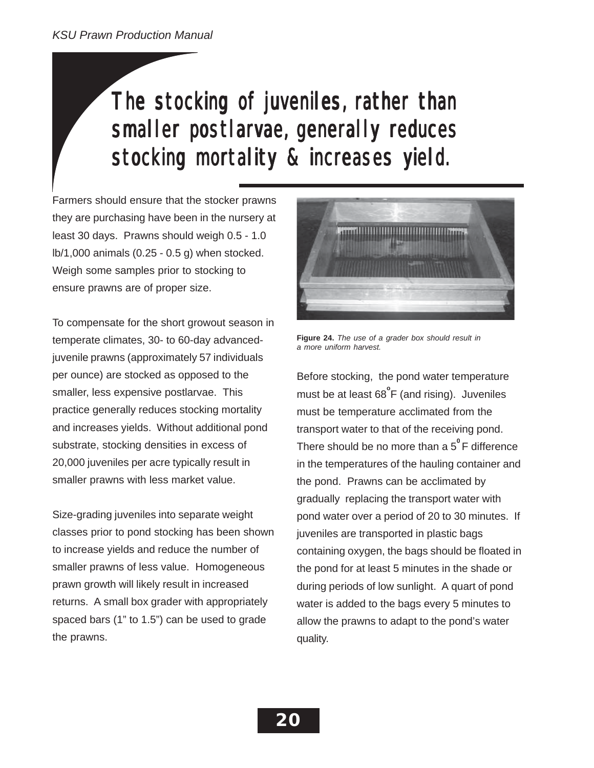# The stocking of juveniles, rather than smaller postlarvae, generally reduces stocking mortality & increases yield.

Farmers should ensure that the stocker prawns they are purchasing have been in the nursery at least 30 days. Prawns should weigh 0.5 - 1.0 lb/1,000 animals (0.25 - 0.5 g) when stocked. Weigh some samples prior to stocking to ensure prawns are of proper size.

To compensate for the short growout season in temperate climates, 30- to 60-day advancedjuvenile prawns (approximately 57 individuals per ounce) are stocked as opposed to the smaller, less expensive postlarvae. This practice generally reduces stocking mortality and increases yields. Without additional pond substrate, stocking densities in excess of 20,000 juveniles per acre typically result in smaller prawns with less market value.

Size-grading juveniles into separate weight classes prior to pond stocking has been shown to increase yields and reduce the number of smaller prawns of less value. Homogeneous prawn growth will likely result in increased returns. A small box grader with appropriately spaced bars (1" to 1.5") can be used to grade the prawns.

![](_page_19_Picture_5.jpeg)

**Figure 24.** *The use of a grader box should result in a more uniform harvest.*

Before stocking, the pond water temperature must be at least 68<sup>°</sup>F (and rising). Juveniles must be temperature acclimated from the transport water to that of the receiving pond. There should be no more than a 5**<sup>0</sup>**F difference in the temperatures of the hauling container and the pond. Prawns can be acclimated by gradually replacing the transport water with pond water over a period of 20 to 30 minutes. If juveniles are transported in plastic bags containing oxygen, the bags should be floated in the pond for at least 5 minutes in the shade or during periods of low sunlight. A quart of pond water is added to the bags every 5 minutes to allow the prawns to adapt to the pond's water quality.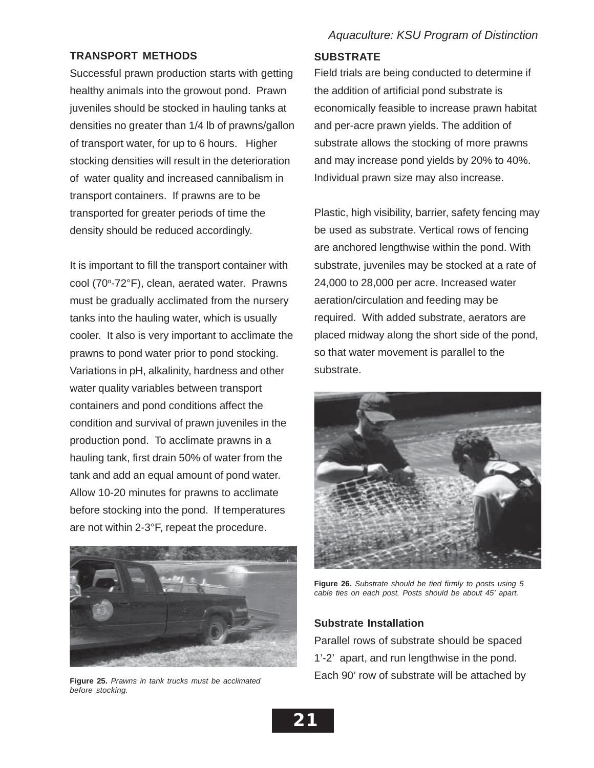### **TRANSPORT METHODS**

Successful prawn production starts with getting healthy animals into the growout pond. Prawn juveniles should be stocked in hauling tanks at densities no greater than 1/4 lb of prawns/gallon of transport water, for up to 6 hours. Higher stocking densities will result in the deterioration of water quality and increased cannibalism in transport containers. If prawns are to be transported for greater periods of time the density should be reduced accordingly.

It is important to fill the transport container with cool (70°-72°F), clean, aerated water. Prawns must be gradually acclimated from the nursery tanks into the hauling water, which is usually cooler. It also is very important to acclimate the prawns to pond water prior to pond stocking. Variations in pH, alkalinity, hardness and other water quality variables between transport containers and pond conditions affect the condition and survival of prawn juveniles in the production pond. To acclimate prawns in a hauling tank, first drain 50% of water from the tank and add an equal amount of pond water. Allow 10-20 minutes for prawns to acclimate before stocking into the pond. If temperatures are not within 2-3°F, repeat the procedure.

![](_page_20_Picture_3.jpeg)

**Figure 25.** *Prawns in tank trucks must be acclimated before stocking.*

### **SUBSTRATE**

Field trials are being conducted to determine if the addition of artificial pond substrate is economically feasible to increase prawn habitat and per-acre prawn yields. The addition of substrate allows the stocking of more prawns and may increase pond yields by 20% to 40%. Individual prawn size may also increase.

Plastic, high visibility, barrier, safety fencing may be used as substrate. Vertical rows of fencing are anchored lengthwise within the pond. With substrate, juveniles may be stocked at a rate of 24,000 to 28,000 per acre. Increased water aeration/circulation and feeding may be required. With added substrate, aerators are placed midway along the short side of the pond, so that water movement is parallel to the substrate.

![](_page_20_Picture_9.jpeg)

**Figure 26.** *Substrate should be tied firmly to posts using 5 cable ties on each post. Posts should be about 45' apart.*

### **Substrate Installation**

Each 90' row of substrate will be attached by Parallel rows of substrate should be spaced 1'-2' apart, and run lengthwise in the pond.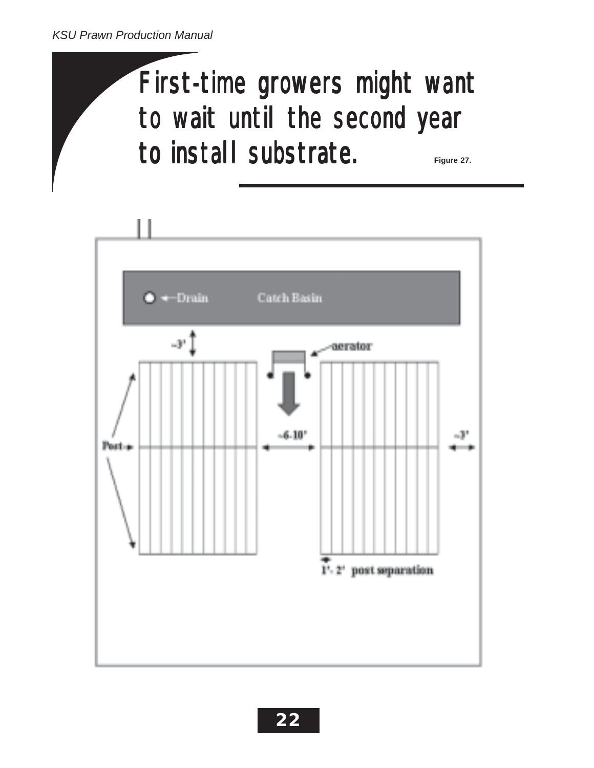# First-time growers might want to wait until the second year to install substrate. **install substrate.** Figure 27.

![](_page_21_Figure_2.jpeg)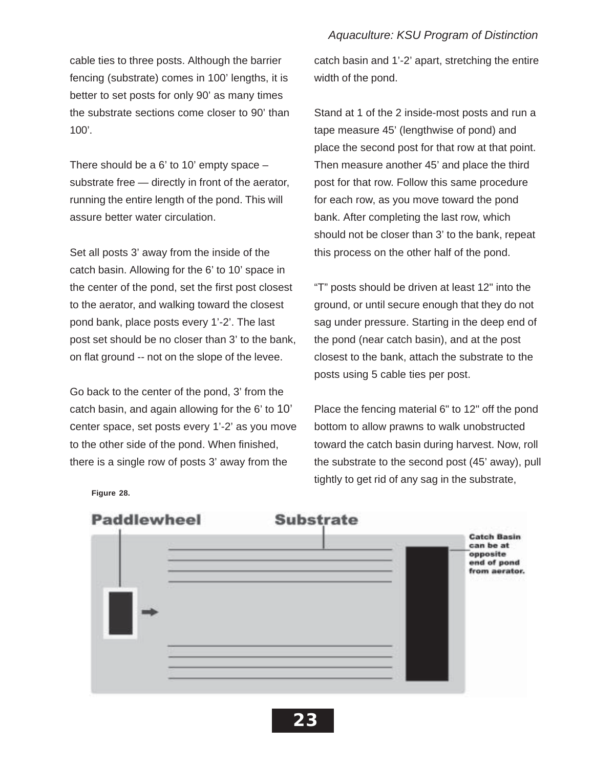cable ties to three posts. Although the barrier fencing (substrate) comes in 100' lengths, it is better to set posts for only 90' as many times the substrate sections come closer to 90' than  $100'$ .

There should be a 6' to 10' empty space – substrate free — directly in front of the aerator, running the entire length of the pond. This will assure better water circulation.

Set all posts 3' away from the inside of the catch basin. Allowing for the 6' to 10' space in the center of the pond, set the first post closest to the aerator, and walking toward the closest pond bank, place posts every 1'-2'. The last post set should be no closer than 3' to the bank, on flat ground -- not on the slope of the levee.

Go back to the center of the pond, 3' from the catch basin, and again allowing for the 6' to 10' center space, set posts every 1'-2' as you move to the other side of the pond. When finished, there is a single row of posts 3' away from the

catch basin and 1'-2' apart, stretching the entire width of the pond.

Stand at 1 of the 2 inside-most posts and run a tape measure 45' (lengthwise of pond) and place the second post for that row at that point. Then measure another 45' and place the third post for that row. Follow this same procedure for each row, as you move toward the pond bank. After completing the last row, which should not be closer than 3' to the bank, repeat this process on the other half of the pond.

"T" posts should be driven at least 12" into the ground, or until secure enough that they do not sag under pressure. Starting in the deep end of the pond (near catch basin), and at the post closest to the bank, attach the substrate to the posts using 5 cable ties per post.

Place the fencing material 6" to 12" off the pond bottom to allow prawns to walk unobstructed toward the catch basin during harvest. Now, roll the substrate to the second post (45' away), pull tightly to get rid of any sag in the substrate,

![](_page_22_Figure_9.jpeg)

**Figure 28.**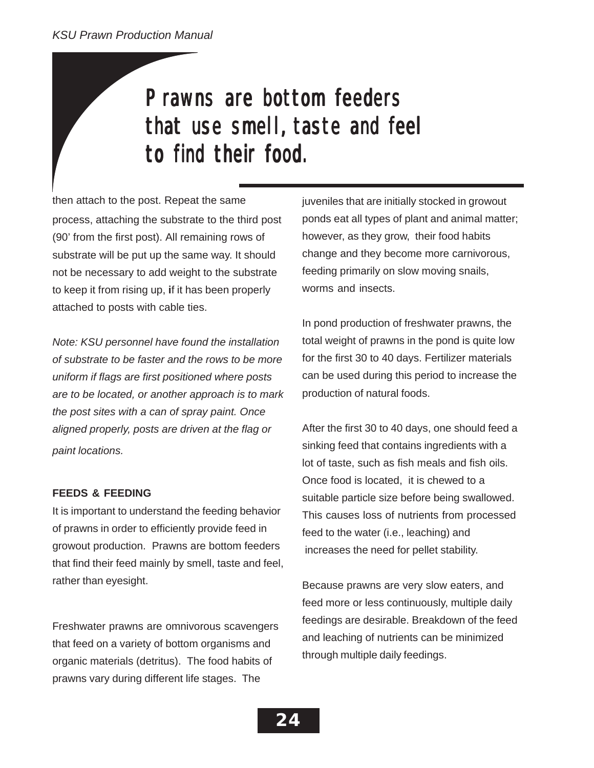# Prawns are bottom feeders that use smell, taste and feel to find their food.

then attach to the post. Repeat the same process, attaching the substrate to the third post (90' from the first post). All remaining rows of substrate will be put up the same way. It should not be necessary to add weight to the substrate to keep it from rising up, **i**f it has been properly attached to posts with cable ties.

*Note: KSU personnel have found the installation of substrate to be faster and the rows to be more uniform if flags are first positioned where posts are to be located, or another approach is to mark the post sites with a can of spray paint. Once aligned properly, posts are driven at the flag or paint locations.*

### **FEEDS & FEEDING**

It is important to understand the feeding behavior of prawns in order to efficiently provide feed in growout production. Prawns are bottom feeders that find their feed mainly by smell, taste and feel, rather than eyesight.

Freshwater prawns are omnivorous scavengers that feed on a variety of bottom organisms and organic materials (detritus). The food habits of prawns vary during different life stages. The

juveniles that are initially stocked in growout ponds eat all types of plant and animal matter; however, as they grow, their food habits change and they become more carnivorous, feeding primarily on slow moving snails, worms and insects.

In pond production of freshwater prawns, the total weight of prawns in the pond is quite low for the first 30 to 40 days. Fertilizer materials can be used during this period to increase the production of natural foods.

After the first 30 to 40 days, one should feed a sinking feed that contains ingredients with a lot of taste, such as fish meals and fish oils. Once food is located, it is chewed to a suitable particle size before being swallowed. This causes loss of nutrients from processed feed to the water (i.e., leaching) and increases the need for pellet stability.

Because prawns are very slow eaters, and feed more or less continuously, multiple daily feedings are desirable. Breakdown of the feed and leaching of nutrients can be minimized through multiple daily feedings.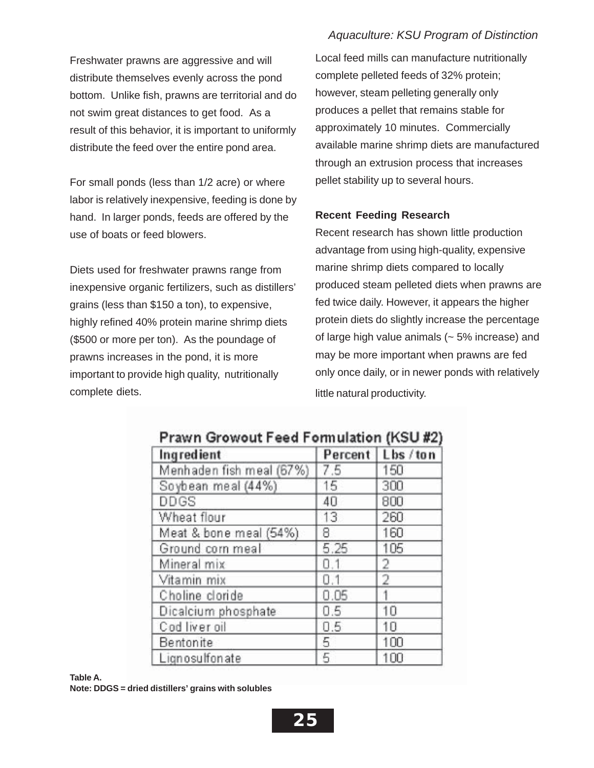Freshwater prawns are aggressive and will distribute themselves evenly across the pond bottom. Unlike fish, prawns are territorial and do not swim great distances to get food. As a result of this behavior, it is important to uniformly distribute the feed over the entire pond area.

For small ponds (less than 1/2 acre) or where labor is relatively inexpensive, feeding is done by hand. In larger ponds, feeds are offered by the use of boats or feed blowers.

Diets used for freshwater prawns range from inexpensive organic fertilizers, such as distillers' grains (less than \$150 a ton), to expensive, highly refined 40% protein marine shrimp diets (\$500 or more per ton). As the poundage of prawns increases in the pond, it is more important to provide high quality, nutritionally complete diets.

Local feed mills can manufacture nutritionally complete pelleted feeds of 32% protein; however, steam pelleting generally only produces a pellet that remains stable for approximately 10 minutes. Commercially available marine shrimp diets are manufactured through an extrusion process that increases pellet stability up to several hours.

### **Recent Feeding Research**

Recent research has shown little production advantage from using high-quality, expensive marine shrimp diets compared to locally produced steam pelleted diets when prawns are fed twice daily. However, it appears the higher protein diets do slightly increase the percentage of large high value animals  $($   $\sim$  5% increase) and may be more important when prawns are fed only once daily, or in newer ponds with relatively little natural productivity.

| Ingredient               |      | Percent   Lbs / ton |
|--------------------------|------|---------------------|
| Menhaden fish meal (67%) | 7.5  | 150                 |
| Soybean meal (44%)       | 15   | 300                 |
| DDGS                     | 40   | 800                 |
| Wheat flour              | 13   | 260                 |
| Meat & bone meal (54%)   | 8    | 160                 |
| Ground corn meal         | 5.25 | 105                 |
| Mineral mix              | 0.1  | 2                   |
| Vitamin mix              | 0.1  | 2                   |
| Choline cloride          | 0.05 |                     |
| Dicalcium phosphate      | 0.5  | 10                  |
| Cod liver oil            | 0.5  | 10                  |
| Bentonite                | 5    | 100                 |
| Lignosulfonate           | 5    | 100                 |

www.CorporateFredErmandedian (I/CLL40)

**Table A. Note: DDGS = dried distillers' grains with solubles**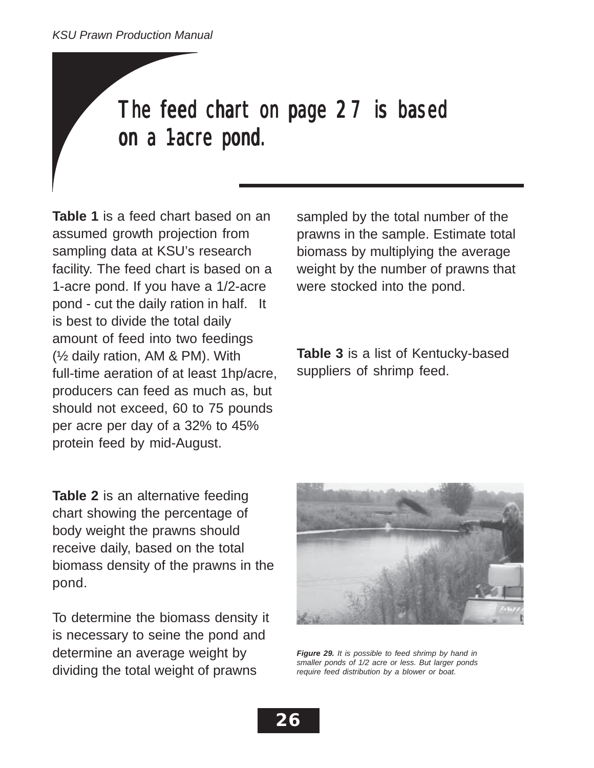# The feed chart on page 27 is based on a 1-acre pond.

**Table 1** is a feed chart based on an assumed growth projection from sampling data at KSU's research facility. The feed chart is based on a 1-acre pond. If you have a 1/2-acre pond - cut the daily ration in half. It is best to divide the total daily amount of feed into two feedings (½ daily ration, AM & PM). With full-time aeration of at least 1hp/acre, producers can feed as much as, but should not exceed, 60 to 75 pounds per acre per day of a 32% to 45% protein feed by mid-August.

**Table 2** is an alternative feeding chart showing the percentage of body weight the prawns should receive daily, based on the total biomass density of the prawns in the pond.

To determine the biomass density it is necessary to seine the pond and determine an average weight by dividing the total weight of prawns

sampled by the total number of the prawns in the sample. Estimate total biomass by multiplying the average weight by the number of prawns that were stocked into the pond.

**Table 3** is a list of Kentucky-based suppliers of shrimp feed.

![](_page_25_Picture_7.jpeg)

*Figure 29. It is possible to feed shrimp by hand in smaller ponds of 1/2 acre or less. But larger ponds require feed distribution by a blower or boat.*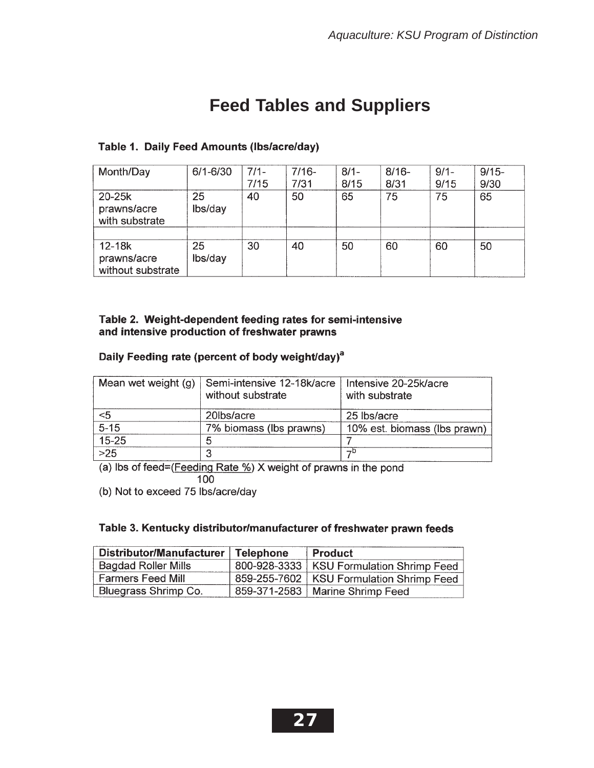## **Feed Tables and Suppliers**

### Table 1. Daily Feed Amounts (Ibs/acre/day)

| Month/Day                                      | 6/1-6/30      | $7/1 -$ | $7/16-$ | $8/1 -$ | $8/16 -$ | $9/1 -$ | $9/15 -$ |
|------------------------------------------------|---------------|---------|---------|---------|----------|---------|----------|
|                                                |               | 7/15    | 7/31    | 8/15    | 8/31     | 9/15    | 9/30     |
| 20-25k<br>prawns/acre<br>with substrate        | 25<br>lbs/day | 40      | 50      | 65      | 75       | 75      | 65       |
|                                                |               |         |         |         |          |         |          |
| $12 - 18k$<br>prawns/acre<br>without substrate | 25<br>lbs/day | 30      | 40      | 50      | 60       | 60      | 50       |

### Table 2. Weight-dependent feeding rates for semi-intensive and intensive production of freshwater prawns

### Daily Feeding rate (percent of body weight/day)<sup>a</sup>

| Mean wet weight (g) | Semi-intensive 12-18k/acre<br>without substrate | Intensive 20-25k/acre<br>with substrate |
|---------------------|-------------------------------------------------|-----------------------------------------|
| <5                  | 20lbs/acre                                      | 25 lbs/acre                             |
| $5 - 15$            | 7% biomass (lbs prawns)                         | 10% est. biomass (lbs prawn)            |
| $15 - 25$           | n                                               |                                         |
| $>25$               |                                                 | $\neg$ D                                |

(a) Ibs of feed=(Feeding Rate %) X weight of prawns in the pond 100

(b) Not to exceed 75 lbs/acre/day

### Table 3. Kentucky distributor/manufacturer of freshwater prawn feeds

| Distributor/Manufacturer   | <b>Telephone</b> | <b>Product</b>                             |
|----------------------------|------------------|--------------------------------------------|
| <b>Bagdad Roller Mills</b> |                  | 800-928-3333   KSU Formulation Shrimp Feed |
| <b>Farmers Feed Mill</b>   |                  | 859-255-7602   KSU Formulation Shrimp Feed |
| Bluegrass Shrimp Co.       |                  | 859-371-2583   Marine Shrimp Feed          |

![](_page_26_Picture_11.jpeg)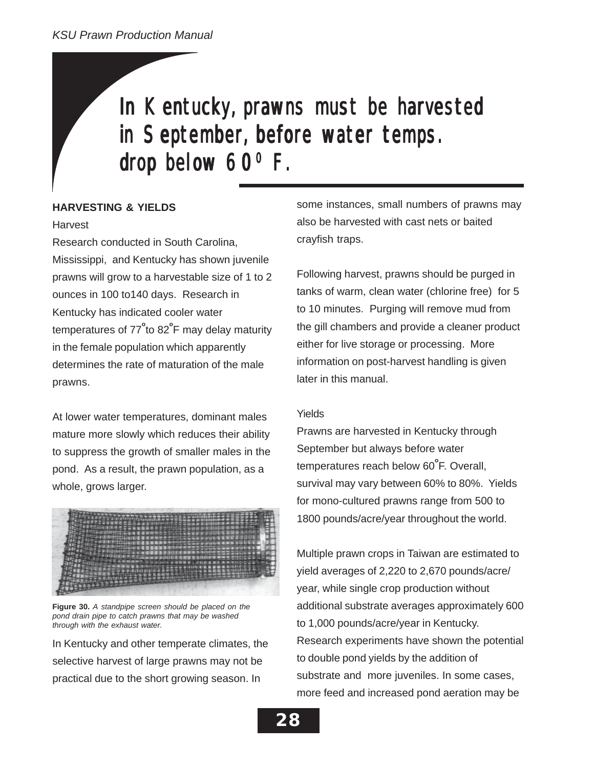# In Kentucky, prawns must be harvested in September, before water temps. drop below  $60^{\circ}$  F.

### **HARVESTING & YIELDS**

### Harvest

Research conducted in South Carolina, Mississippi, and Kentucky has shown juvenile prawns will grow to a harvestable size of 1 to 2 ounces in 100 to140 days. Research in Kentucky has indicated cooler water temperatures of 77<sup>°</sup>to 82<sup>°</sup>F may delay maturity in the female population which apparently determines the rate of maturation of the male prawns.

At lower water temperatures, dominant males mature more slowly which reduces their ability to suppress the growth of smaller males in the pond. As a result, the prawn population, as a whole, grows larger.

![](_page_27_Figure_6.jpeg)

**Figure 30.** *A standpipe screen should be placed on the pond drain pipe to catch prawns that may be washed through with the exhaust water.*

In Kentucky and other temperate climates, the selective harvest of large prawns may not be practical due to the short growing season. In

some instances, small numbers of prawns may also be harvested with cast nets or baited crayfish traps.

Following harvest, prawns should be purged in tanks of warm, clean water (chlorine free) for 5 to 10 minutes. Purging will remove mud from the gill chambers and provide a cleaner product either for live storage or processing. More information on post-harvest handling is given later in this manual.

### Yields

Prawns are harvested in Kentucky through September but always before water temperatures reach below 60<sup>°</sup>F. Overall, survival may vary between 60% to 80%. Yields for mono-cultured prawns range from 500 to 1800 pounds/acre/year throughout the world.

Multiple prawn crops in Taiwan are estimated to yield averages of 2,220 to 2,670 pounds/acre/ year, while single crop production without additional substrate averages approximately 600 to 1,000 pounds/acre/year in Kentucky. Research experiments have shown the potential to double pond yields by the addition of substrate and more juveniles. In some cases, more feed and increased pond aeration may be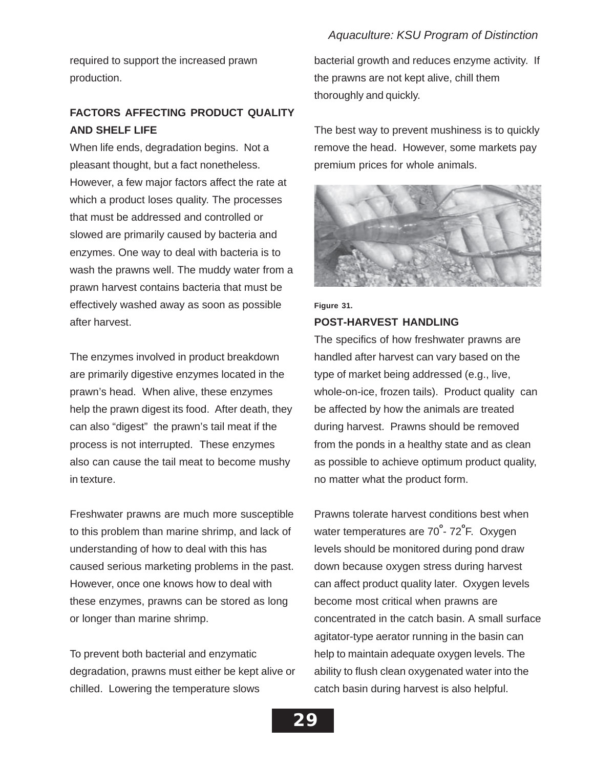required to support the increased prawn production.

### **FACTORS AFFECTING PRODUCT QUALITY AND SHELF LIFE**

When life ends, degradation begins. Not a pleasant thought, but a fact nonetheless. However, a few major factors affect the rate at which a product loses quality. The processes that must be addressed and controlled or slowed are primarily caused by bacteria and enzymes. One way to deal with bacteria is to wash the prawns well. The muddy water from a prawn harvest contains bacteria that must be effectively washed away as soon as possible after harvest.

The enzymes involved in product breakdown are primarily digestive enzymes located in the prawn's head. When alive, these enzymes help the prawn digest its food. After death, they can also "digest" the prawn's tail meat if the process is not interrupted. These enzymes also can cause the tail meat to become mushy in texture.

Freshwater prawns are much more susceptible to this problem than marine shrimp, and lack of understanding of how to deal with this has caused serious marketing problems in the past. However, once one knows how to deal with these enzymes, prawns can be stored as long or longer than marine shrimp.

To prevent both bacterial and enzymatic degradation, prawns must either be kept alive or chilled. Lowering the temperature slows

bacterial growth and reduces enzyme activity. If the prawns are not kept alive, chill them thoroughly and quickly.

The best way to prevent mushiness is to quickly remove the head. However, some markets pay premium prices for whole animals.

![](_page_28_Picture_9.jpeg)

**Figure 31.**

### **POST-HARVEST HANDLING**

The specifics of how freshwater prawns are handled after harvest can vary based on the type of market being addressed (e.g., live, whole-on-ice, frozen tails). Product quality can be affected by how the animals are treated during harvest. Prawns should be removed from the ponds in a healthy state and as clean as possible to achieve optimum product quality, no matter what the product form.

Prawns tolerate harvest conditions best when water temperatures are 70<sup>°</sup>- 72<sup>°</sup>F. Oxygen levels should be monitored during pond draw down because oxygen stress during harvest can affect product quality later. Oxygen levels become most critical when prawns are concentrated in the catch basin. A small surface agitator-type aerator running in the basin can help to maintain adequate oxygen levels. The ability to flush clean oxygenated water into the catch basin during harvest is also helpful.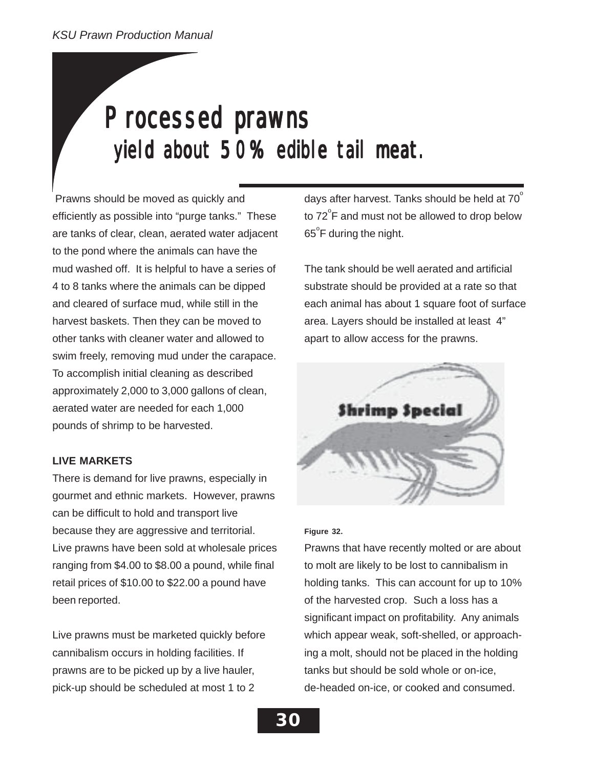# Processed prawns yield about 50% edible tail meat.

 Prawns should be moved as quickly and efficiently as possible into "purge tanks." These are tanks of clear, clean, aerated water adjacent to the pond where the animals can have the mud washed off. It is helpful to have a series of 4 to 8 tanks where the animals can be dipped and cleared of surface mud, while still in the harvest baskets. Then they can be moved to other tanks with cleaner water and allowed to swim freely, removing mud under the carapace. To accomplish initial cleaning as described approximately 2,000 to 3,000 gallons of clean, aerated water are needed for each 1,000 pounds of shrimp to be harvested.

### **LIVE MARKETS**

There is demand for live prawns, especially in gourmet and ethnic markets. However, prawns can be difficult to hold and transport live because they are aggressive and territorial. Live prawns have been sold at wholesale prices ranging from \$4.00 to \$8.00 a pound, while final retail prices of \$10.00 to \$22.00 a pound have been reported.

Live prawns must be marketed quickly before cannibalism occurs in holding facilities. If prawns are to be picked up by a live hauler, pick-up should be scheduled at most 1 to 2

days after harvest. Tanks should be held at  $70^\circ$ to 72 $\mathrm{^{\circ}F}$  and must not be allowed to drop below  $65^{\circ}$ F during the night.

The tank should be well aerated and artificial substrate should be provided at a rate so that each animal has about 1 square foot of surface area. Layers should be installed at least 4" apart to allow access for the prawns.

![](_page_29_Picture_8.jpeg)

### **Figure 32.**

Prawns that have recently molted or are about to molt are likely to be lost to cannibalism in holding tanks. This can account for up to 10% of the harvested crop. Such a loss has a significant impact on profitability. Any animals which appear weak, soft-shelled, or approaching a molt, should not be placed in the holding tanks but should be sold whole or on-ice, de-headed on-ice, or cooked and consumed.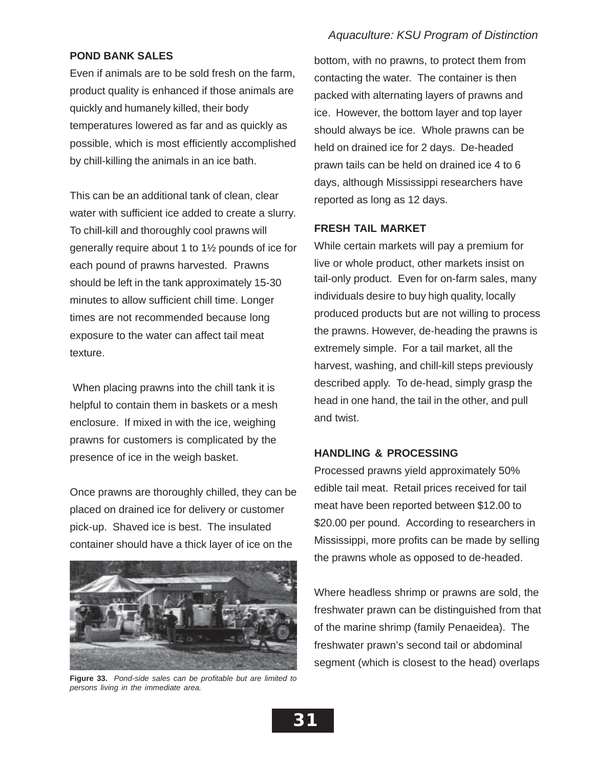### **POND BANK SALES**

Even if animals are to be sold fresh on the farm, product quality is enhanced if those animals are quickly and humanely killed, their body temperatures lowered as far and as quickly as possible, which is most efficiently accomplished by chill-killing the animals in an ice bath.

This can be an additional tank of clean, clear water with sufficient ice added to create a slurry. To chill-kill and thoroughly cool prawns will generally require about 1 to 1½ pounds of ice for each pound of prawns harvested. Prawns should be left in the tank approximately 15-30 minutes to allow sufficient chill time. Longer times are not recommended because long exposure to the water can affect tail meat texture.

 When placing prawns into the chill tank it is helpful to contain them in baskets or a mesh enclosure. If mixed in with the ice, weighing prawns for customers is complicated by the presence of ice in the weigh basket.

Once prawns are thoroughly chilled, they can be placed on drained ice for delivery or customer pick-up. Shaved ice is best. The insulated container should have a thick layer of ice on the

![](_page_30_Picture_6.jpeg)

**Figure 33.** *Pond-side sales can be profitable but are limited to persons living in the immediate area.*

bottom, with no prawns, to protect them from contacting the water. The container is then packed with alternating layers of prawns and ice. However, the bottom layer and top layer should always be ice. Whole prawns can be held on drained ice for 2 days. De-headed prawn tails can be held on drained ice 4 to 6 days, although Mississippi researchers have reported as long as 12 days.

### **FRESH TAIL MARKET**

While certain markets will pay a premium for live or whole product, other markets insist on tail-only product. Even for on-farm sales, many individuals desire to buy high quality, locally produced products but are not willing to process the prawns. However, de-heading the prawns is extremely simple. For a tail market, all the harvest, washing, and chill-kill steps previously described apply. To de-head, simply grasp the head in one hand, the tail in the other, and pull and twist.

### **HANDLING & PROCESSING**

Processed prawns yield approximately 50% edible tail meat. Retail prices received for tail meat have been reported between \$12.00 to \$20.00 per pound. According to researchers in Mississippi, more profits can be made by selling the prawns whole as opposed to de-headed.

Where headless shrimp or prawns are sold, the freshwater prawn can be distinguished from that of the marine shrimp (family Penaeidea). The freshwater prawn's second tail or abdominal segment (which is closest to the head) overlaps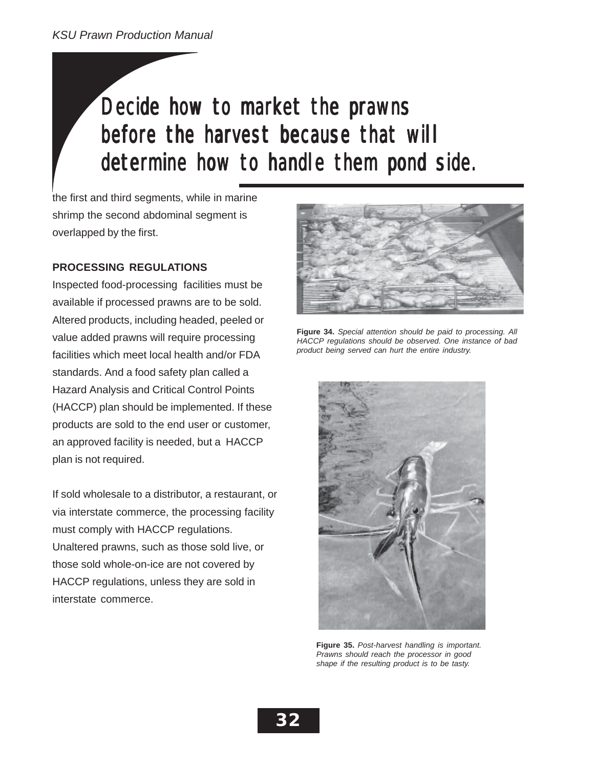# Decide how to market the prawns before the harvest because that will before the harvest because that will before the harvest because that will determine how to handle them pond side.

the first and third segments, while in marine shrimp the second abdominal segment is overlapped by the first.

### **PROCESSING REGULATIONS**

Inspected food-processing facilities must be available if processed prawns are to be sold. Altered products, including headed, peeled or value added prawns will require processing facilities which meet local health and/or FDA standards. And a food safety plan called a Hazard Analysis and Critical Control Points (HACCP) plan should be implemented. If these products are sold to the end user or customer, an approved facility is needed, but a HACCP plan is not required.

If sold wholesale to a distributor, a restaurant, or via interstate commerce, the processing facility must comply with HACCP regulations. Unaltered prawns, such as those sold live, or those sold whole-on-ice are not covered by HACCP regulations, unless they are sold in interstate commerce.

![](_page_31_Picture_6.jpeg)

**Figure 34.** *Special attention should be paid to processing. All HACCP regulations should be observed. One instance of bad product being served can hurt the entire industry.*

![](_page_31_Picture_8.jpeg)

**Figure 35.** *Post-harvest handling is important. Prawns should reach the processor in good shape if the resulting product is to be tasty.*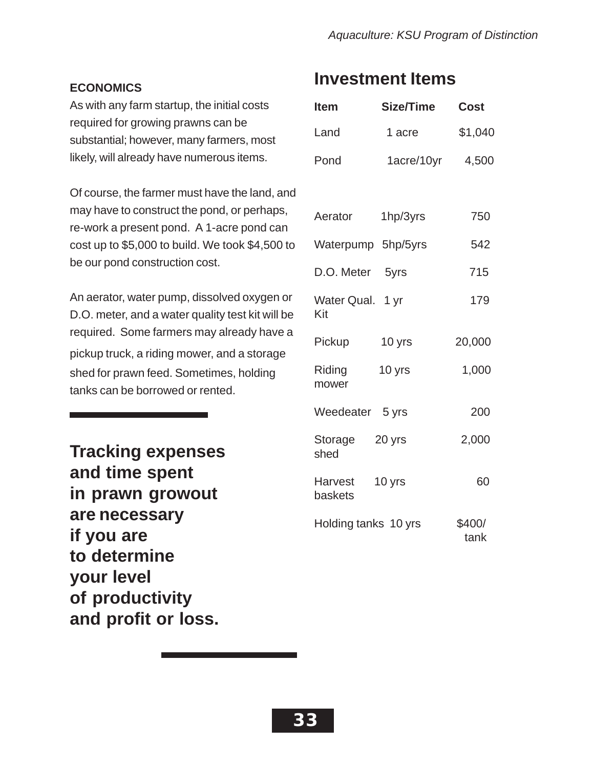### **ECONOMICS**

As with any farm startup, the initial costs required for growing prawns can be substantial; however, many farmers, most likely, will already have numerous items.

Of course, the farmer must have the land, and may have to construct the pond, or perhaps, re-work a present pond. A 1-acre pond can cost up to \$5,000 to build. We took \$4,500 to be our pond construction cost.

An aerator, water pump, dissolved oxygen or D.O. meter, and a water quality test kit will be required. Some farmers may already have a pickup truck, a riding mower, and a storage shed for prawn feed. Sometimes, holding tanks can be borrowed or rented.

**Tracking expenses and time spent in prawn growout are necessary if you are to determine your level of productivity and profit or loss.**

### **Investment Items**

| <b>Item</b>               | Size/Time  | <b>Cost</b>    |
|---------------------------|------------|----------------|
| Land                      | 1 acre     | \$1,040        |
| Pond                      | 1acre/10yr | 4,500          |
|                           |            |                |
| Aerator                   | 1hp/3yrs   | 750            |
| Waterpump 5hp/5yrs        |            | 542            |
| D.O. Meter 5yrs           |            | 715            |
| Water Qual. 1 yr<br>Kit   |            | 179            |
| Pickup                    | 10 yrs     | 20,000         |
| Riding<br>mower           | 10 yrs     | 1,000          |
| Weedeater 5 yrs           |            | 200            |
| Storage<br>shed           | 20 yrs     | 2,000          |
| <b>Harvest</b><br>baskets | 10 yrs     | 60             |
| Holding tanks 10 yrs      |            | \$400/<br>tank |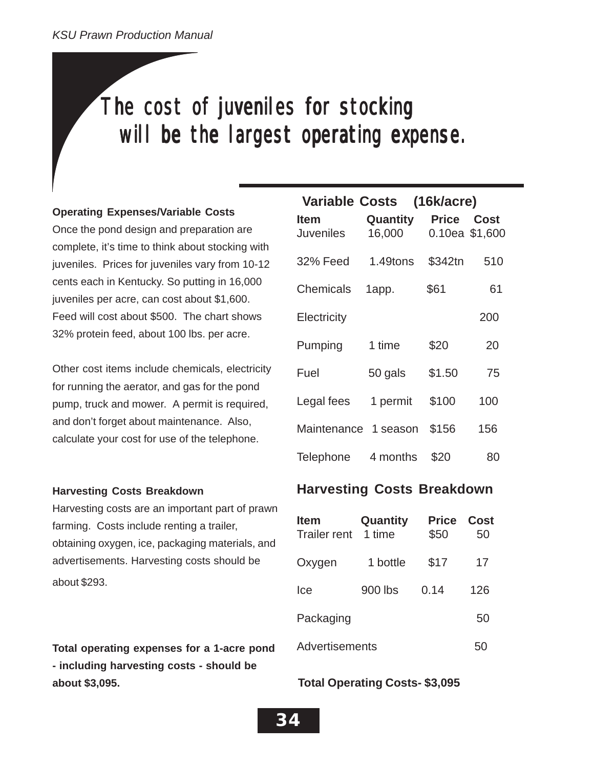# The cost of juveniles for stocking will be the largest operating expense.

### **Operating Expenses/Variable Costs**

Once the pond design and preparation are complete, it's time to think about stocking with juveniles. Prices for juveniles vary from 10-12 cents each in Kentucky. So putting in 16,000 juveniles per acre, can cost about \$1,600. Feed will cost about \$500. The chart shows 32% protein feed, about 100 lbs. per acre.

Other cost items include chemicals, electricity for running the aerator, and gas for the pond pump, truck and mower. A permit is required, and don't forget about maintenance. Also, calculate your cost for use of the telephone.

### **Harvesting Costs Breakdown**

Harvesting costs are an important part of prawn farming. Costs include renting a trailer, obtaining oxygen, ice, packaging materials, and advertisements. Harvesting costs should be about \$293.

**Total operating expenses for a 1-acre pond - including harvesting costs - should be about \$3,095.**

|                          | Variable Costs (16k/acre) |              |                               |
|--------------------------|---------------------------|--------------|-------------------------------|
| <b>Item</b><br>Juveniles | Quantity<br>16,000        | <b>Price</b> | <b>Cost</b><br>0.10ea \$1,600 |
| <b>32% Feed</b>          | 1.49tons                  | \$342tn      | 510                           |
| Chemicals                | 1app.                     | \$61         | 61                            |
| Electricity              |                           |              | 200                           |
| Pumping                  | 1 time                    | \$20         | 20                            |
| Fuel                     | 50 gals                   | \$1.50       | 75                            |
| Legal fees               | 1 permit                  | \$100        | 100                           |
| Maintenance              | 1 season                  | \$156        | 156                           |
| Telephone                | 4 months                  | \$20         | 80                            |

### **Harvesting Costs Breakdown**

| <b>Item</b><br><b>Trailer rent</b> | Quantity<br>1 time | <b>Price</b><br>\$50 | Cost<br>50 |
|------------------------------------|--------------------|----------------------|------------|
| Oxygen                             | 1 bottle           | \$17                 | 17         |
| lce                                | 900 lbs            | 0.14                 | 126        |
| Packaging                          |                    |                      | 50         |
| Advertisements<br>50               |                    |                      |            |

### **Total Operating Costs- \$3,095**

**34**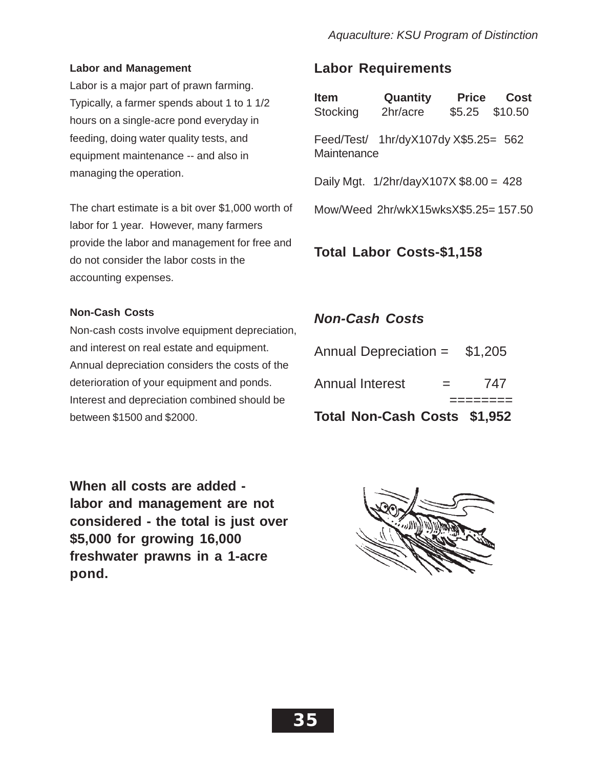### **Labor and Management**

Labor is a major part of prawn farming. Typically, a farmer spends about 1 to 1 1/2 hours on a single-acre pond everyday in feeding, doing water quality tests, and equipment maintenance -- and also in managing the operation.

The chart estimate is a bit over \$1,000 worth of labor for 1 year. However, many farmers provide the labor and management for free and do not consider the labor costs in the accounting expenses.

### **Non-Cash Costs**

Non-cash costs involve equipment depreciation, and interest on real estate and equipment. Annual depreciation considers the costs of the deterioration of your equipment and ponds. Interest and depreciation combined should be between \$1500 and \$2000.

### **Labor Requirements**

| <b>Item</b><br>Stocking          | Quantity<br>2hr/acre                      | Price | Cost<br>\$5.25 \$10.50 |
|----------------------------------|-------------------------------------------|-------|------------------------|
| Maintenance                      | Feed/Test/ 1hr/dyX107dy X\$5.25= 562      |       |                        |
|                                  | Daily Mgt. $1/2$ hr/dayX107X \$8.00 = 428 |       |                        |
|                                  | Mow/Weed 2hr/wkX15wksX\$5.25=157.50       |       |                        |
| <b>Total Labor Costs-\$1,158</b> |                                           |       |                        |

### *Non-Cash Costs*

| <b>Annual Interest</b>         | $=$ | 747 |
|--------------------------------|-----|-----|
| Annual Depreciation = $$1,205$ |     |     |

**Total Non-Cash Costs \$1,952**

**When all costs are added labor and management are not considered - the total is just over \$5,000 for growing 16,000 freshwater prawns in a 1-acre pond.**

![](_page_34_Figure_12.jpeg)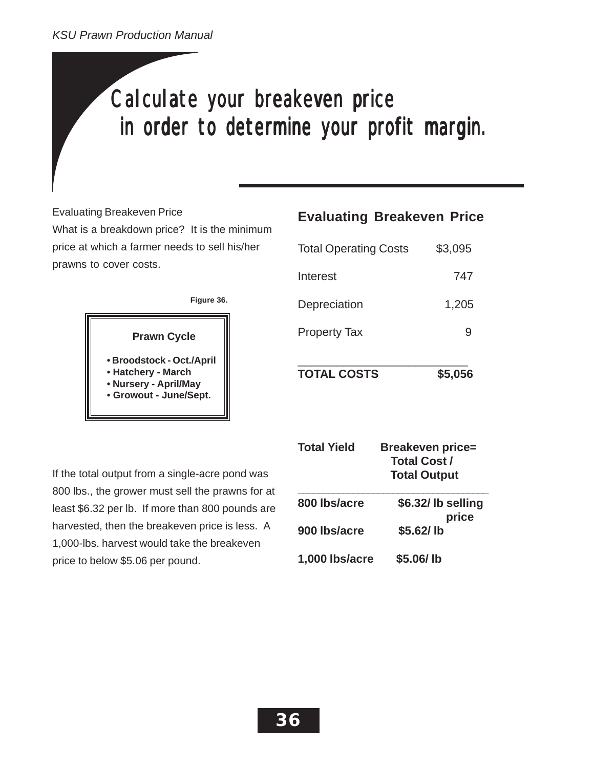# Calculate your breakeven price in order to determine your profit margin.

Evaluating Breakeven Price

What is a breakdown price? It is the minimum price at which a farmer needs to sell his/her prawns to cover costs.

### **Figure 36.**

![](_page_35_Picture_5.jpeg)

**• Broodstock - Oct./April • Hatchery - March • Nursery - April/May • Growout - June/Sept.**

If the total output from a single-acre pond was 800 lbs., the grower must sell the prawns for at least \$6.32 per lb. If more than 800 pounds are harvested, then the breakeven price is less. A 1,000-lbs. harvest would take the breakeven price to below \$5.06 per pound.

### **Evaluating Breakeven Price**

| <b>TOTAL COSTS</b>           | \$5,056 |
|------------------------------|---------|
| <b>Property Tax</b>          |         |
| Depreciation                 | 1,205   |
| Interest                     | 747     |
| <b>Total Operating Costs</b> | \$3,095 |

| <b>Total Yield</b> | <b>Breakeven price=</b><br><b>Total Cost /</b><br><b>Total Output</b> |
|--------------------|-----------------------------------------------------------------------|
| 800 Ibs/acre       | \$6.32/lb selling<br>price                                            |
| 900 lbs/acre       | \$5.62/lb                                                             |
| 1,000 lbs/acre     | \$5.06/lb                                                             |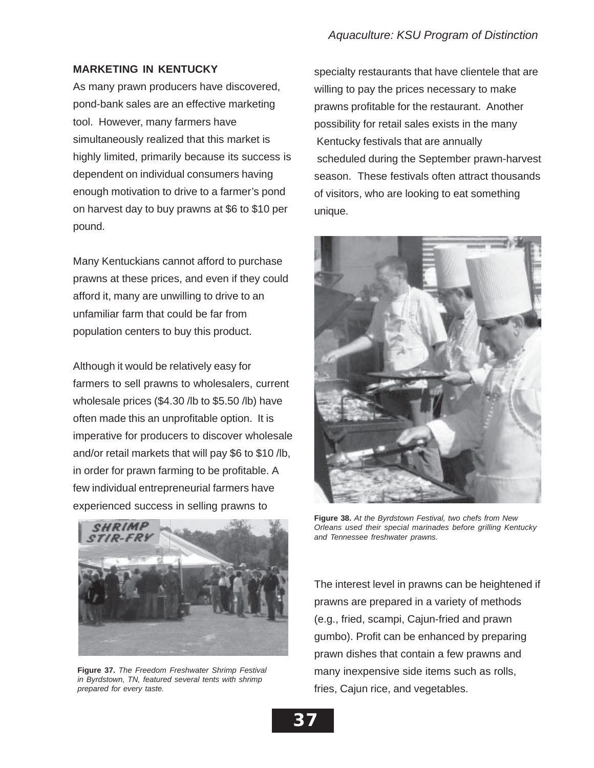### **MARKETING IN KENTUCKY**

As many prawn producers have discovered, pond-bank sales are an effective marketing tool. However, many farmers have simultaneously realized that this market is highly limited, primarily because its success is dependent on individual consumers having enough motivation to drive to a farmer's pond on harvest day to buy prawns at \$6 to \$10 per pound.

Many Kentuckians cannot afford to purchase prawns at these prices, and even if they could afford it, many are unwilling to drive to an unfamiliar farm that could be far from population centers to buy this product.

Although it would be relatively easy for farmers to sell prawns to wholesalers, current wholesale prices (\$4.30 /lb to \$5.50 /lb) have often made this an unprofitable option. It is imperative for producers to discover wholesale and/or retail markets that will pay \$6 to \$10 /lb, in order for prawn farming to be profitable. A few individual entrepreneurial farmers have experienced success in selling prawns to

![](_page_36_Picture_5.jpeg)

**Figure 37.** *The Freedom Freshwater Shrimp Festival in Byrdstown, TN, featured several tents with shrimp prepared for every taste.*

specialty restaurants that have clientele that are willing to pay the prices necessary to make prawns profitable for the restaurant. Another possibility for retail sales exists in the many Kentucky festivals that are annually scheduled during the September prawn-harvest season. These festivals often attract thousands of visitors, who are looking to eat something unique.

![](_page_36_Picture_8.jpeg)

**Figure 38.** *At the Byrdstown Festival, two chefs from New Orleans used their special marinades before grilling Kentucky and Tennessee freshwater prawns.*

The interest level in prawns can be heightened if prawns are prepared in a variety of methods (e.g., fried, scampi, Cajun-fried and prawn gumbo). Profit can be enhanced by preparing prawn dishes that contain a few prawns and many inexpensive side items such as rolls, fries, Cajun rice, and vegetables.

![](_page_36_Picture_11.jpeg)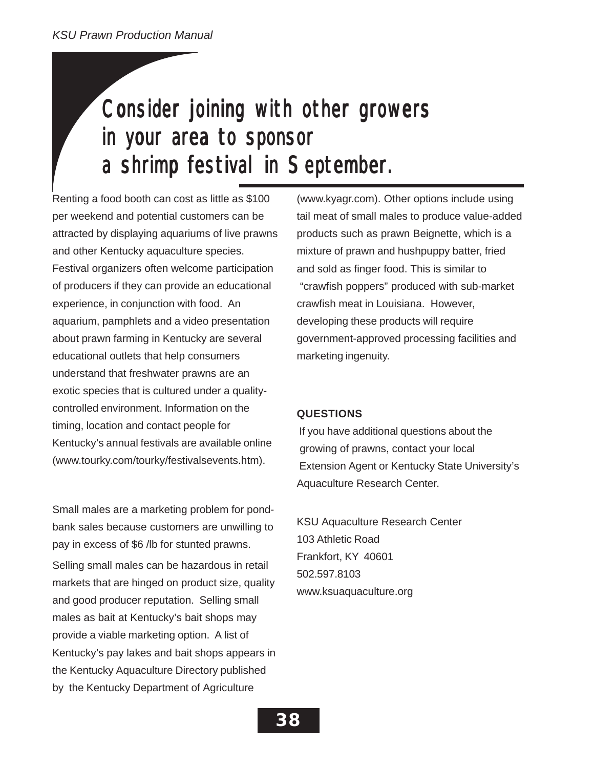# Consider joining with other growers in your area to sponsor a shrimp festival in September.

Renting a food booth can cost as little as \$100 per weekend and potential customers can be attracted by displaying aquariums of live prawns and other Kentucky aquaculture species. Festival organizers often welcome participation of producers if they can provide an educational experience, in conjunction with food. An aquarium, pamphlets and a video presentation about prawn farming in Kentucky are several educational outlets that help consumers understand that freshwater prawns are an exotic species that is cultured under a qualitycontrolled environment. Information on the timing, location and contact people for Kentucky's annual festivals are available online (www.tourky.com/tourky/festivalsevents.htm).

Small males are a marketing problem for pondbank sales because customers are unwilling to pay in excess of \$6 /lb for stunted prawns. Selling small males can be hazardous in retail markets that are hinged on product size, quality and good producer reputation. Selling small males as bait at Kentucky's bait shops may provide a viable marketing option. A list of Kentucky's pay lakes and bait shops appears in the Kentucky Aquaculture Directory published by the Kentucky Department of Agriculture

(www.kyagr.com). Other options include using tail meat of small males to produce value-added products such as prawn Beignette, which is a mixture of prawn and hushpuppy batter, fried and sold as finger food. This is similar to "crawfish poppers" produced with sub-market crawfish meat in Louisiana. However, developing these products will require government-approved processing facilities and marketing ingenuity.

### **QUESTIONS**

 If you have additional questions about the growing of prawns, contact your local Extension Agent or Kentucky State University's Aquaculture Research Center.

KSU Aquaculture Research Center 103 Athletic Road Frankfort, KY 40601 502.597.8103 www.ksuaquaculture.org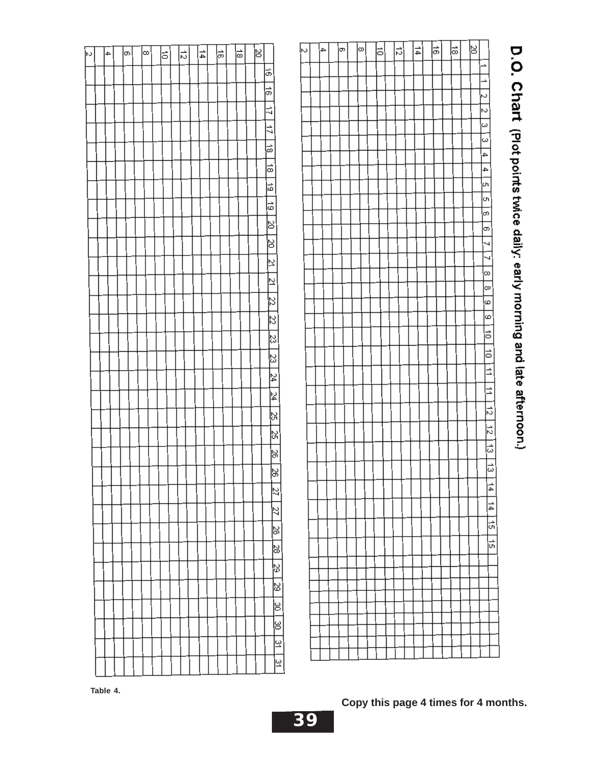| 하 | $\frac{1}{4}$ | 능 | ≂ | খ |                         |           | $\mathbin{\vartriangle}$ | ∣← | ∞∣ | ∣∞∣ | Þ | 네 | 네 | $\left \stackrel{\rightarrow}{\oplus}\right $ | 히 | ≋ |                              |  |
|---|---------------|---|---|---|-------------------------|-----------|--------------------------|----|----|-----|---|---|---|-----------------------------------------------|---|---|------------------------------|--|
|   |               |   |   |   | 능                       |           |                          |    |    |     |   |   |   |                                               |   |   | ∸                            |  |
|   |               |   |   |   | $\frac{1}{9}$           |           |                          |    |    |     |   |   |   |                                               |   |   | è<br>$\ddot{\circ}$          |  |
|   |               |   |   |   | $\vec{z}$               |           |                          |    |    |     |   |   |   |                                               |   |   | ∾                            |  |
|   |               |   |   |   | $\vec{z}$               |           |                          |    |    |     |   |   |   |                                               |   |   | $\tilde{\omega}$             |  |
|   |               |   |   |   | ₿                       |           |                          |    |    |     |   |   |   |                                               |   |   | $\omega$                     |  |
|   |               |   |   |   | ≂                       |           |                          |    |    |     |   |   |   |                                               |   |   | 4                            |  |
|   |               |   |   |   |                         |           |                          |    |    |     |   |   |   |                                               |   |   | 4<br>o                       |  |
|   |               |   |   |   | þ                       |           |                          |    |    |     |   |   |   |                                               |   |   | ļυ                           |  |
|   |               |   |   |   | 능                       |           |                          |    |    |     |   |   |   |                                               |   |   | თ,                           |  |
|   |               |   |   |   | ∣≋                      |           |                          |    |    |     |   |   |   |                                               |   |   | þэ                           |  |
|   |               |   |   |   | ∣క                      |           |                          |    |    |     |   |   |   |                                               |   |   | 4                            |  |
|   |               |   |   |   | 의                       |           |                          |    |    |     |   |   |   |                                               |   |   | ч                            |  |
|   |               |   |   |   | 익                       |           |                          |    |    |     |   |   |   |                                               |   |   | ∞<br> co                     |  |
|   |               |   |   |   | $\overline{z}$          |           |                          |    |    |     |   |   |   |                                               |   |   | ω                            |  |
|   |               |   |   |   | $\mathbb{Z}$            |           |                          |    |    |     |   |   |   |                                               |   |   | $\omega$                     |  |
|   |               |   |   |   | $\overline{\mathbb{Z}}$ |           |                          |    |    |     |   |   |   |                                               |   |   | þ                            |  |
|   |               |   |   |   | ¦జ                      |           |                          |    |    |     |   |   |   |                                               |   |   | $\equiv$                     |  |
|   |               |   |   |   | $\frac{24}{3}$          |           |                          |    |    |     |   |   |   |                                               |   |   | $\overline{1}$               |  |
|   |               |   |   |   | $\frac{24}{3}$          |           |                          |    |    |     |   |   |   |                                               |   |   | $\overline{=}$               |  |
|   |               |   |   |   | ķ                       |           |                          |    |    |     |   |   |   |                                               |   |   | $\frac{1}{2}$                |  |
|   |               |   |   |   |                         |           |                          |    |    |     |   |   |   |                                               |   |   | $\left  \frac{1}{2} \right $ |  |
|   |               |   |   |   | $\frac{25}{25}$         |           |                          |    |    |     |   |   |   |                                               |   |   | $\frac{1}{2}$                |  |
|   |               |   |   |   | ∣≋                      |           |                          |    |    |     |   |   |   |                                               |   |   | ౹ౚ                           |  |
|   |               |   |   |   | $ \% $                  |           |                          |    |    |     |   |   |   |                                               |   |   |                              |  |
|   |               |   |   |   | k                       |           |                          |    |    |     |   |   |   |                                               |   |   | $\frac{1}{4}$                |  |
|   |               |   |   |   | $\overline{z}$          |           |                          |    |    |     |   |   |   |                                               |   |   | $\frac{1}{4}$                |  |
|   |               |   |   |   | ⊗                       |           |                          |    |    |     |   |   |   |                                               |   |   | 능                            |  |
|   |               |   |   |   | ⊗                       |           |                          |    |    |     |   |   |   |                                               |   |   | $\frac{1}{2}$                |  |
|   |               |   |   |   |                         | 29        |                          |    |    |     |   |   |   |                                               |   |   |                              |  |
|   |               |   |   |   |                         | ⊗         |                          |    |    |     |   |   |   |                                               |   |   |                              |  |
|   |               |   |   |   |                         | p         |                          |    |    |     |   |   |   |                                               |   |   |                              |  |
|   |               |   |   |   |                         | þ         |                          |    |    |     |   |   |   |                                               |   |   |                              |  |
|   |               |   |   |   |                         | $\approx$ |                          |    |    |     |   |   |   |                                               |   |   |                              |  |
|   |               |   |   |   |                         | ≌         |                          |    |    |     |   |   |   |                                               |   |   |                              |  |
|   |               |   |   |   |                         |           |                          |    |    |     |   |   |   |                                               |   |   |                              |  |

# D.O. Chart (Plot points twice daily: early morning and late afternoon.)

*Aquaculture: KSU Program of Distinction*

∞ J)

1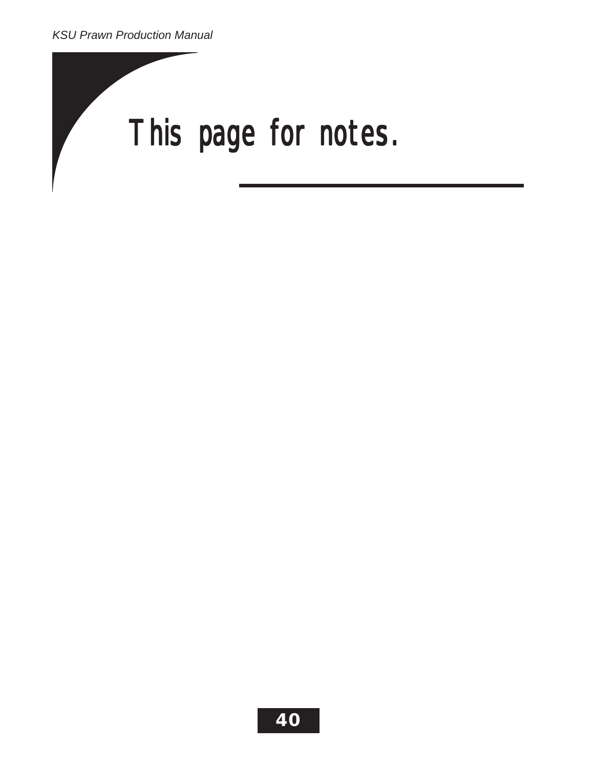# This page for notes.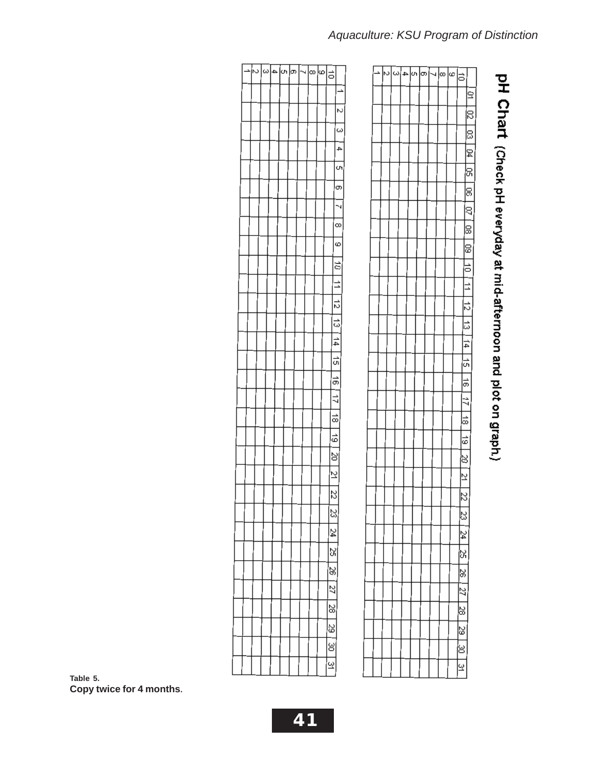| è | 이아아이어 |  |  |  | ∣⊲ ∞ ∞ ≍        |                     |  |
|---|-------|--|--|--|-----------------|---------------------|--|
|   |       |  |  |  |                 | 2                   |  |
|   |       |  |  |  |                 | p                   |  |
|   |       |  |  |  |                 | ē                   |  |
|   |       |  |  |  |                 | $\frac{1}{2}$       |  |
|   |       |  |  |  |                 | 9                   |  |
|   |       |  |  |  |                 | 8                   |  |
|   |       |  |  |  |                 | $-50$               |  |
|   |       |  |  |  |                 | 8                   |  |
|   |       |  |  |  |                 | 60                  |  |
|   |       |  |  |  |                 | $\overline{1}$      |  |
|   |       |  |  |  |                 | $\overline{=}$      |  |
|   |       |  |  |  |                 | $\frac{12}{2}$      |  |
|   |       |  |  |  |                 | $\frac{1}{3}$<br>14 |  |
|   |       |  |  |  |                 | $\frac{1}{2}$       |  |
|   |       |  |  |  |                 | $\frac{1}{9}$       |  |
|   |       |  |  |  |                 | $\frac{1}{4}$       |  |
|   |       |  |  |  | $\frac{1}{8}$   |                     |  |
|   |       |  |  |  | $\frac{1}{9}$   |                     |  |
|   |       |  |  |  | ķ               |                     |  |
|   |       |  |  |  | $\tilde{z}$     |                     |  |
|   |       |  |  |  | $\mathbb{Z}$    |                     |  |
|   |       |  |  |  | S,              |                     |  |
|   |       |  |  |  | $\overline{24}$ |                     |  |
|   |       |  |  |  | SS.             |                     |  |
|   |       |  |  |  | $\approx$       |                     |  |
|   |       |  |  |  | 27              |                     |  |
|   |       |  |  |  | 28              |                     |  |
|   |       |  |  |  | 39              |                     |  |
|   |       |  |  |  | g               |                     |  |
|   |       |  |  |  | $\tilde{z}$     |                     |  |

# pH Chart (Check pH everyday at mid-afternoon and plot on graph.)

| N | $\lvert \omega \rvert$ | 4 | ŀη | ကြ | 4 | $\infty$ | ∣∞ | Б              |                |  |
|---|------------------------|---|----|----|---|----------|----|----------------|----------------|--|
|   |                        |   |    |    |   |          |    |                |                |  |
|   |                        |   |    |    |   |          |    |                | Z              |  |
|   |                        |   |    |    |   |          |    |                | $\omega$       |  |
|   |                        |   |    |    |   |          |    |                | 4              |  |
|   |                        |   |    |    |   |          |    |                | o,             |  |
|   |                        |   |    |    |   |          |    |                | $\sigma$       |  |
|   |                        |   |    |    |   |          |    |                | 4              |  |
|   |                        |   |    |    |   |          |    |                | $\infty$       |  |
|   |                        |   |    |    |   |          |    |                | $\omega$       |  |
|   |                        |   |    |    |   |          |    |                | $\vec{0}$      |  |
|   |                        |   |    |    |   |          |    |                | $\frac{1}{2}$  |  |
|   |                        |   |    |    |   |          |    |                | $\vec{c}$      |  |
|   |                        |   |    |    |   |          |    |                | $\vec{v}$      |  |
|   |                        |   |    |    |   |          |    |                | $\frac{14}{1}$ |  |
|   |                        |   |    |    |   |          |    |                | $\frac{1}{2}$  |  |
|   |                        |   |    |    |   |          |    |                | 18   17        |  |
|   |                        |   |    |    |   |          |    |                |                |  |
|   |                        |   |    |    |   |          |    |                | $\Rightarrow$  |  |
|   |                        |   |    |    |   |          |    |                | $\frac{1}{6}$  |  |
|   |                        |   |    |    |   |          |    |                | $\frac{8}{1}$  |  |
|   |                        |   |    |    |   |          |    |                | $\vec{z}$      |  |
|   |                        |   |    |    |   |          |    | $\mathbb E$    |                |  |
|   |                        |   |    |    |   |          |    | S)             |                |  |
|   |                        |   |    |    |   |          |    | 24<br>š5       |                |  |
|   |                        |   |    |    |   |          |    | $\frac{8}{36}$ |                |  |
|   |                        |   |    |    |   |          |    | $\overline{z}$ |                |  |
|   |                        |   |    |    |   |          |    | $\frac{8}{2}$  |                |  |
|   |                        |   |    |    |   |          |    | $\frac{2}{3}$  |                |  |
|   |                        |   |    |    |   |          |    | $_{\rm g}$     |                |  |
|   |                        |   |    |    |   |          |    | Q              |                |  |

*Aquaculture: KSU Program of Distinction*

**Table 5. Copy twice for 4 months.**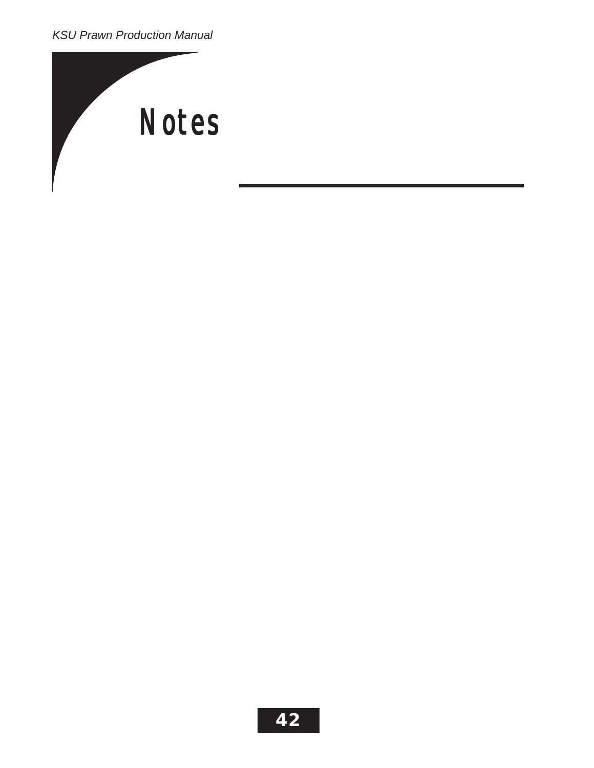*KSU Prawn Production Manual*

![](_page_41_Picture_1.jpeg)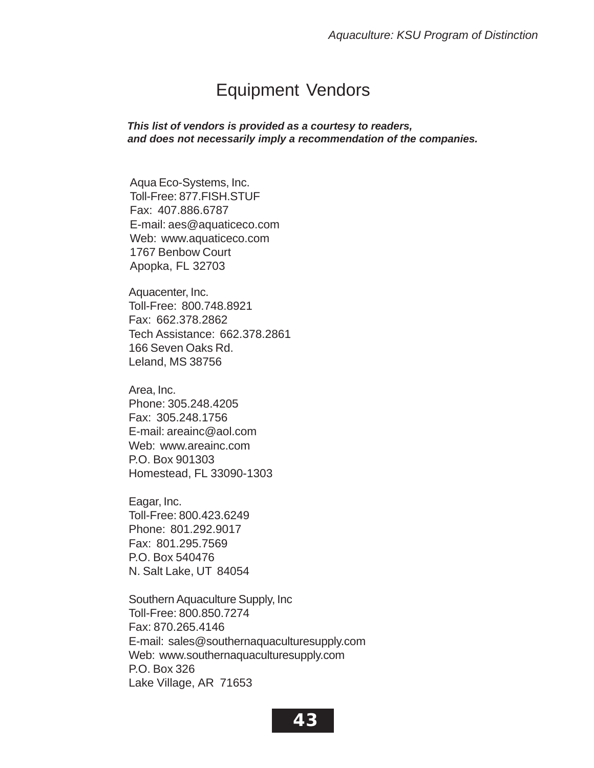### Equipment Vendors

*This list of vendors is provided as a courtesy to readers, and does not necessarily imply a recommendation of the companies.*

Aqua Eco-Systems, Inc. Toll-Free: 877.FISH.STUF Fax: 407.886.6787 E-mail: aes@aquaticeco.com Web: www.aquaticeco.com 1767 Benbow Court Apopka, FL 32703

Aquacenter, Inc. Toll-Free: 800.748.8921 Fax: 662.378.2862 Tech Assistance: 662.378.2861 166 Seven Oaks Rd. Leland, MS 38756

Area, Inc. Phone: 305.248.4205 Fax: 305.248.1756 E-mail: areainc@aol.com Web: www.areainc.com P.O. Box 901303 Homestead, FL 33090-1303

Eagar, Inc. Toll-Free: 800.423.6249 Phone: 801.292.9017 Fax: 801.295.7569 P.O. Box 540476 N. Salt Lake, UT 84054

Southern Aquaculture Supply, Inc Toll-Free: 800.850.7274 Fax: 870.265.4146 E-mail: sales@southernaquaculturesupply.com Web: www.southernaquaculturesupply.com P.O. Box 326 Lake Village, AR 71653

![](_page_42_Picture_8.jpeg)